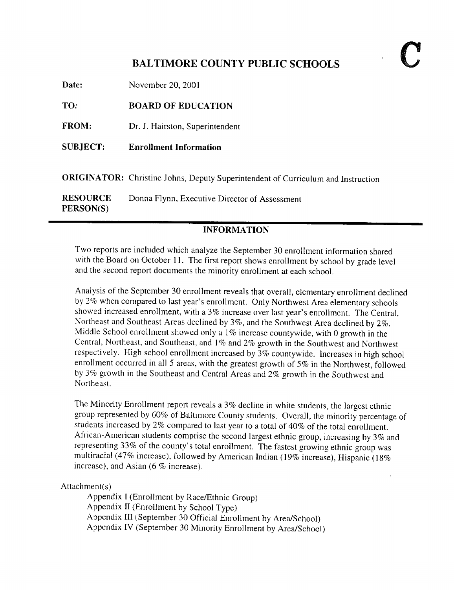## BALTIMORE COUNTY PUBLIC SCHOOLS

| Date:           | November 20, 2001                                                                                                                 |
|-----------------|-----------------------------------------------------------------------------------------------------------------------------------|
| TO:             | <b>BOARD OF EDUCATION</b>                                                                                                         |
| <b>FROM:</b>    | Dr. J. Hairston, Superintendent                                                                                                   |
| <b>SUBJECT:</b> | <b>Enrollment Information</b>                                                                                                     |
| <b>RESOURCE</b> | ORIGINATOR: Christine Johns, Deputy Superintendent of Curriculum and Instruction<br>Donna Flynn, Executive Director of Assessment |
| PERSON(S)       |                                                                                                                                   |

## INFORMATION

Two reports are included which analyze the September 30 enrollment information shared with the Board on October 11. The first report shows enrollment by school by grade level and the second report documents the minority enrollment at each school.

Analysis of the September 30 enrollment reveals that overall, elementary enrollment declined by 2% when compared to last year's enrollment. Only Northwest Area elementary schools showed increased enrollment, with a 3% increase over last year's enrollment. The Central, Northeast and Southeast Areas declined by 3%, and the Southwest Area declined by 2%. Middle School enrollment showed only a 1% increase countywide, with 0 growth in the Central, Northeast, and Southeast, and 1% and 2% growth in the Southwest and Northwest respectively. High school enrollment increased by 3% countywide. Increases in high school enrollment occurred in all 5 areas, with the greatest growth of 5% in the Northwest, followed by 3% growth in the Southeast and Central Areas and 2% growth in the Southwest and Northeast.

The Minority Enrollment report reveals a 3% decline in white students, the largest ethnic group represented by 60% of Baltimore County students . Overall, the rninority percentage of students increased by 2% compared to last year to a total of 40% of the total enrollment. African-American students comprise the second largest ethnic group, increasing by 3% and representing 33% of the county's total enrollment. The fastest growing ethnic group was multiracial (47% increase), followed by American Indian (19% increase), Hispanic (18% increase), and Asian  $(6 \%$  increase).

### Attachment(s)

Appendix <sup>I</sup> (Enrollment by Race/Ethnic Group) Appendix II (Enrollment by School Type) Appendix III (September 30 Official Enrollment by Area/School) Appendix IV (September 30 Minority Enrollment by Area/School)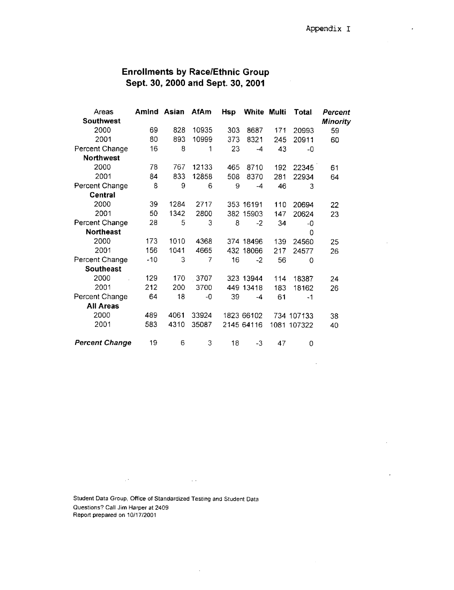$\ddot{\phantom{a}}$ 

٠

# Enrollments by Race/Ethnic Group Sept. 30, 2000 and Sept. 30, 2001

| Areas                 | Amind | Asian | AfAm  | Hsp | White Multi |         | Total       | Percent  |
|-----------------------|-------|-------|-------|-----|-------------|---------|-------------|----------|
| <b>Southwest</b>      |       |       |       |     |             |         |             | Minority |
| 2000                  | 69    | 828   | 10935 | 303 | 8687        | 171     | 20993       | 59       |
| 2001                  | 80    | 893   | 10999 | 373 | 8321        | 245     | 20911       | 60       |
| Percent Change        | 16    | 8     | 1     | 23  | $-4$        | 43      | -0          |          |
| <b>Northwest</b>      |       |       |       |     |             |         |             |          |
| 2000                  | 78    | 767   | 12133 | 465 | 8710        | 192     | 22345       | 61       |
| 2001                  | 84    | 833   | 12858 | 508 | 8370        | 281     | 22934       | 64       |
| Percent Change        | 8     | 9     | 6     | 9   | $-4$        | 46      | 3           |          |
| Central               |       |       |       |     |             |         |             |          |
| 2000                  | 39    | 1284  | 2717  |     | 353 16191   | 110     | 20694       | 22       |
| 2001                  | 50    | 1342  | 2800  |     | 382 15903   | 147     | 20624       | 23       |
| Percent Change        | 28    | 5     | 3     | 8   | $-2$        | 34      | -0          |          |
| <b>Northeast</b>      |       |       |       |     |             |         | 0           |          |
| 2000                  | 173   | 1010  | 4368  |     | 374 18496   | 139     | 24560       | 25       |
| 2001                  | 156   | 1041  | 4665  |     | 432 18066   | 217     | 24577       | 26       |
| Percent Change        | -10   | 3     | 7     | 16  | $-2$        | 56      | 0           |          |
| Southeast             |       |       |       |     |             |         |             |          |
| 2000                  | 129   | 170   | 3707  |     | 323 13944   | $114 -$ | 18387       | 24       |
| 2001                  | 212   | 200   | 3700  |     | 449 13418   | 183     | 18162       | 26       |
| Percent Change        | 64    | 18    | -0    | 39  | -4          | 61      | $-1$        |          |
| <b>All Areas</b>      |       |       |       |     |             |         |             |          |
| 2000                  | 489   | 4061  | 33924 |     | 1823 66102  |         | 734 107133  | 38       |
| 2001                  | 583   | 4310  | 35087 |     | 2145 64116  |         | 1081 107322 | 40       |
| <b>Percent Change</b> | 19    | 6     | 3     | 18  | -3          | 47      | 0           |          |

Student Data Group, Office of Standardized Testing and Student Data Questions? Call Jim Harper at 2409 Report prepared on 1011712001

 $\sim$ 

 $\ddot{\phantom{a}}$ 

 $\mathcal{A}^{\mathcal{A}}$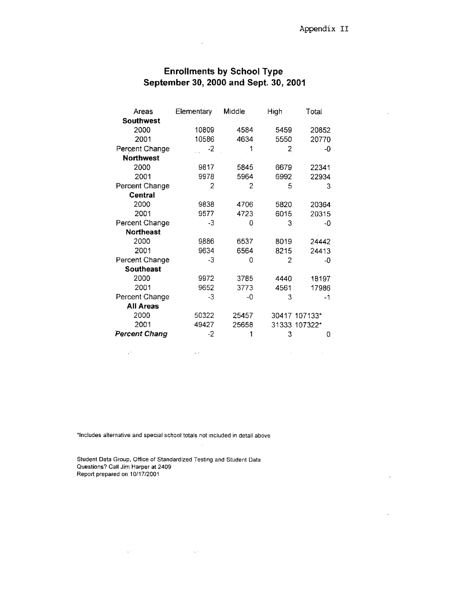$\hat{\mathbf{r}}$ 

 $\hat{\mathcal{L}}$ 

## Enrollments by School Type September 30, 2000 and Sept. 30, 2001

 $\sim$ 

| Areas                | Elementary | Middle | High | Total         |
|----------------------|------------|--------|------|---------------|
| <b>Southwest</b>     |            |        |      |               |
| 2000                 | 10809      | 4584   | 5459 | 20852         |
| 2001                 | 10586      | 4634   | 5550 | 20770         |
| Percent Change       | -2         |        | 2    | -0            |
| <b>Northwest</b>     |            |        |      |               |
| 2000                 | 9817       | 5845   | 6679 | 22341         |
| 2001                 | 9978       | 5964   | 6992 | 22934         |
| Percent Change       | 2          | 2      | 5    | з             |
| <b>Central</b>       |            |        |      |               |
| 2000                 | 9838       | 4706   | 5820 | 20364         |
| 2001                 | 9577       | 4723   | 6015 | 20315         |
| Percent Change       | -3         | Ω      | 3    | -0            |
| Northeast            |            |        |      |               |
| 2000                 | 9886       | 6537   | 8019 | 24442         |
| 2001                 | 9634       | 6564   | 8215 | 24413         |
| Percent Change       | -3         | n      | 2    | -0            |
| Southeast            |            |        |      |               |
| 2000                 | 9972       | 3785   | 4440 | 18197         |
| 2001                 | 9652       | 3773   | 4561 | 17986         |
| Percent Change       | $-3$       | -0     | 3    | - 1           |
| <b>All Areas</b>     |            |        |      |               |
| 2000                 | 50322      | 25457  |      | 30417 107133* |
| 2001                 | 49427      | 25658  |      | 31333 107322* |
| <b>Percent Chang</b> | $-2$       |        | 3    | 0             |

 $\sim$ 

\*Includes alternative and special school totals not included in detail above

 $\sim 10^7$ 

 $\sim 10^{11}$ 

 $\sim$   $\sim$ 

 $\Delta\sigma$  and

Student Data Group, Office of Standardized Testing and Student Data Questions? Call Jim Harper at 2409 Report prepared on 10/17/2001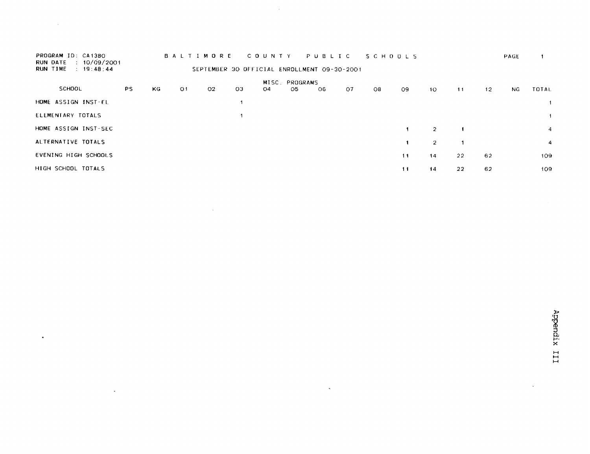| $\pm 10/09/2001$ |     |    |     |     |                  |    |        |                |                                                       |    |                 |                |    | PAGE |                |
|------------------|-----|----|-----|-----|------------------|----|--------|----------------|-------------------------------------------------------|----|-----------------|----------------|----|------|----------------|
|                  |     |    |     |     |                  |    |        |                |                                                       |    |                 |                |    |      |                |
|                  | ΚG  | O1 | -02 | -03 | 04               | 05 | O6     | 07             | O8                                                    | 09 | 10 <sub>1</sub> | 11             | 12 | NG.  | TOTAL          |
|                  |     |    |     |     |                  |    |        |                |                                                       |    |                 |                |    |      |                |
|                  |     |    |     |     |                  |    |        |                |                                                       |    |                 |                |    |      |                |
|                  |     |    |     |     |                  |    |        |                |                                                       |    | 2               | $\blacksquare$ |    |      | $\overline{4}$ |
|                  |     |    |     |     |                  |    |        |                |                                                       |    | $\mathbf{2}$    |                |    |      | $\overline{4}$ |
|                  |     |    |     |     |                  |    |        |                |                                                       | 11 | 14              | 22             | 62 |      | 109            |
|                  |     |    |     |     |                  |    |        |                |                                                       | 11 | 14              | 22             | 62 |      | 109            |
|                  | PS. |    |     |     | <b>BALTIMORE</b> |    | COUNTY | MISC. PROGRAMS | PUBLIC<br>SEPTEMBER 30 OFFICIAL ENROLLMENT 09-30-2001 |    | SCHOOLS         |                |    |      |                |

 $\label{eq:2.1} \frac{1}{2} \sum_{i=1}^n \frac{1}{2} \sum_{j=1}^n \frac{1}{2} \sum_{j=1}^n \frac{1}{2} \sum_{j=1}^n \frac{1}{2} \sum_{j=1}^n \frac{1}{2} \sum_{j=1}^n \frac{1}{2} \sum_{j=1}^n \frac{1}{2} \sum_{j=1}^n \frac{1}{2} \sum_{j=1}^n \frac{1}{2} \sum_{j=1}^n \frac{1}{2} \sum_{j=1}^n \frac{1}{2} \sum_{j=1}^n \frac{1}{2} \sum_{j=1}^n \frac{$ 

 $\mathcal{L}(\mathcal{L}(\mathcal{L}))$  and  $\mathcal{L}(\mathcal{L}(\mathcal{L}))$  . The contribution of  $\mathcal{L}(\mathcal{L})$ 

 $\hat{p}$  ,  $\hat{p}$  ,  $\hat{p}$ 

 $\sim 10^{-1}$ 

 $\mathcal{L}^{\pm}$ 

 $\mathcal{L}(\mathcal{L}^{\mathcal{L}})$  and  $\mathcal{L}^{\mathcal{L}}$  . The contribution of  $\mathcal{L}^{\mathcal{L}}$ 

 $\mathcal{A}_{\mathcal{A}}$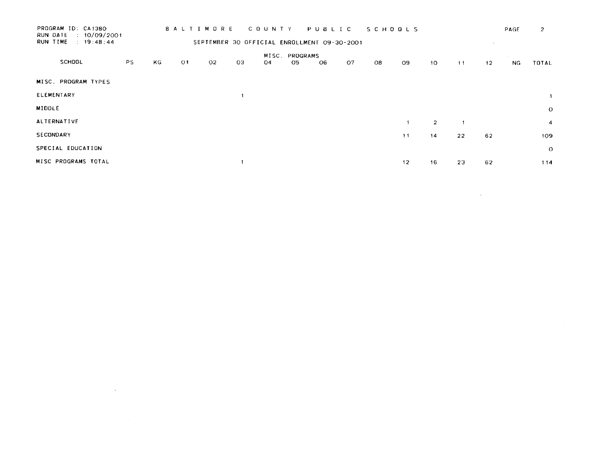| PROGRAM ID: CA1380<br>: 10/09/2001<br>RUN DATE<br>RUN TIME<br>$\therefore$ 19:48:44 |     |    | BALTIMORE |                |    | C O U N T Y | SEPTEMBER 30 OFFICIAL ENROLLMENT 09-30-2001 | PUBLIC |    |    | <b>SCHOOLS</b> |                 |    |    | PAGE | 2              |
|-------------------------------------------------------------------------------------|-----|----|-----------|----------------|----|-------------|---------------------------------------------|--------|----|----|----------------|-----------------|----|----|------|----------------|
| SCHOOL                                                                              | PS. | KG | 01        | O <sub>2</sub> | 03 | 04          | MISC. PROGRAMS<br>O <sub>5</sub>            | O6     | O7 | 08 | -09            | 10 <sub>o</sub> | 11 | 12 | NG.  | TOTAL          |
| MISC. PROGRAM TYPES                                                                 |     |    |           |                |    |             |                                             |        |    |    |                |                 |    |    |      |                |
| ELEMENTARY                                                                          |     |    |           |                |    |             |                                             |        |    |    |                |                 |    |    |      | $\mathbf{1}$   |
| <b>MIDDLE</b>                                                                       |     |    |           |                |    |             |                                             |        |    |    |                |                 |    |    |      | $\circ$        |
| <b>ALTERNATIVE</b>                                                                  |     |    |           |                |    |             |                                             |        |    |    |                | $\overline{2}$  |    |    |      | $\overline{4}$ |
| SECONDARY                                                                           |     |    |           |                |    |             |                                             |        |    |    | 11             | 14              | 22 | 62 |      | 109            |
| SPECIAL EDUCATION                                                                   |     |    |           |                |    |             |                                             |        |    |    |                |                 |    |    |      | $\Omega$       |
| MISC PROGRAMS TOTAL                                                                 |     |    |           |                |    |             |                                             |        |    |    | 12             | 16              | 23 | 62 |      | 114            |

 $\label{eq:2.1} \frac{1}{\sqrt{2}}\left(\frac{1}{\sqrt{2}}\right)^2\left(\frac{1}{\sqrt{2}}\right)^2\left(\frac{1}{\sqrt{2}}\right)^2\left(\frac{1}{\sqrt{2}}\right)^2\left(\frac{1}{\sqrt{2}}\right)^2\left(\frac{1}{\sqrt{2}}\right)^2\left(\frac{1}{\sqrt{2}}\right)^2\left(\frac{1}{\sqrt{2}}\right)^2\left(\frac{1}{\sqrt{2}}\right)^2\left(\frac{1}{\sqrt{2}}\right)^2\left(\frac{1}{\sqrt{2}}\right)^2\left(\frac{1}{\sqrt{2}}\right)^2\left(\frac{1}{\sqrt$ 

 $\label{eq:2.1} \frac{1}{\sqrt{2}}\int_{\mathbb{R}^3}\frac{1}{\sqrt{2}}\left(\frac{1}{\sqrt{2}}\right)^2\frac{1}{\sqrt{2}}\left(\frac{1}{\sqrt{2}}\right)^2\frac{1}{\sqrt{2}}\left(\frac{1}{\sqrt{2}}\right)^2\frac{1}{\sqrt{2}}\left(\frac{1}{\sqrt{2}}\right)^2.$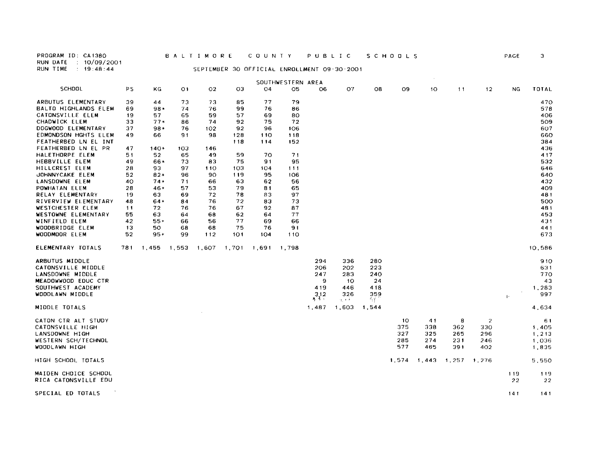PROGRAM ID : CA 1380 RUN DATE : 10/09/2001

### RUN TIME : 19 :48 :44 SEPTEMBER 30 OFFICIAL ENROLLMENT 09-30-2001

|                             |     |             |                |       |       |                | SOUTHWESTERN AREA |              |          |       |       | $\alpha$ |       |                |     |              |
|-----------------------------|-----|-------------|----------------|-------|-------|----------------|-------------------|--------------|----------|-------|-------|----------|-------|----------------|-----|--------------|
| SCHOOL                      | PS. | ΚG          | O <sub>1</sub> | 02    | O3    | O <sub>4</sub> | 05                | 06           | 07       | O8    | 09    | 10       | 11    | 12             | NG. | <b>TOTAL</b> |
|                             |     |             |                |       |       |                |                   |              |          |       |       |          |       |                |     |              |
| ARBUTUS ELEMENTARY          | 39  | 44          | 73             | 73    | 85    | 77             | 79                |              |          |       |       |          |       |                |     | 470          |
| BALTO HIGHLANDS ELEM        | 69  | 98*         | 74             | 76    | 99    | 76             | 86                |              |          |       |       |          |       |                |     | 578          |
| CATONSVILLE ELEM            | 19  | 57          | 65             | 59    | 57    | 69             | 80                |              |          |       |       |          |       |                |     | 406          |
| <b>CHADWICK ELEM</b>        | 33  | $77*$       | 86             | 74    | 92    | 75             | 72                |              |          |       |       |          |       |                |     | 509          |
| DOGWOOD ELEMENTARY          | 37  | $98*$       | 76             | 102   | 92    | 96             | 106               |              |          |       |       |          |       |                |     | 607          |
| <b>EDMONDSON HGHTS ELEM</b> | 49  | 66.         | 91             | 98    | 128   | 110.           | 118               |              |          |       |       |          |       |                |     | 660          |
| FEATHERBED LN EL INT        |     |             |                |       | 118   | 114            | 152               |              |          |       |       |          |       |                |     | 384          |
| FEATHERBED LN EL PR         | 47  | $140*$      | 103            | 146   |       |                |                   |              |          |       |       |          |       |                |     | 436          |
| HALETHORPE ELEM             | 51  | 52          | 65             | 49    | 59    | 70             | 71                |              |          |       |       |          |       |                |     | 417          |
| HEBBVILLE ELEM              | 49  | 66*         | 73             | 83    | 75    | 91             | 95                |              |          |       |       |          |       |                |     | 532          |
| HILLCREST ELEM              | 28  | 93.         | 97             | 110   | 103   | 104            | 111               |              |          |       |       |          |       |                |     | 646          |
| JOHNNYCAKE ELEM             | 52  | 82*         | 96             | 90    | 119   | 95             | 106               |              |          |       |       |          |       |                |     | 640          |
| LANSDOWNE ELEM              | 40  | $74+$       | 71             | 66    | 63    | 62             | 56                |              |          |       |       |          |       |                |     | 432          |
| POWHATAN ELEM               | 28  | 46*         | 57             | 53    | 79    | 81             | 65                |              |          |       |       |          |       |                |     | 409          |
| RELAY ELEMENTARY            | 19  | 63.         | 69             | 72    | 78    | 83             | 97                |              |          |       |       |          |       |                |     | 481          |
| RIVERVIEW ELEMENTARY        | 48  | 64*         | 84             | 76    | 72    | 83             | 73                |              |          |       |       |          |       |                |     | 500          |
| WESTCHESTER ELEM            | 11  | 72          | 76             | 76    | 67    | 92             | 87                |              |          |       |       |          |       |                |     | 481          |
| WESTOWNE ELEMENTARY         | 55  | 63          |                | 68    | 62    | 64             | 77                |              |          |       |       |          |       |                |     | 453          |
|                             |     |             | 64             |       |       |                |                   |              |          |       |       |          |       |                |     |              |
| WINFIELD ELEM               | 42  | 55*         | 66             | 56    | 77    | 69             | 66                |              |          |       |       |          |       |                |     | 431          |
| WOODBRIDGE ELEM             | 13  | 50.         | 68             | 68    | 75    | 76             | 91                |              |          |       |       |          |       |                |     | 441          |
| WOODMOOR ELEM               | 52  | $95*$       | 99             | 112   | 101   | 104            | 110               |              |          |       |       |          |       |                |     | 673          |
| ELEMENTARY TOTALS           | 781 | 1,455 1,553 |                | 1,607 | 1,701 | 1.691          | 1,798             |              |          |       |       |          |       |                |     | 10,586       |
| ARBUTUS MIDDLE              |     |             |                |       |       |                |                   | 294          | 336      | 280   |       |          |       |                |     | 910          |
| CATONSVILLE MIDDLE          |     |             |                |       |       |                |                   | 206          | 202      | 223   |       |          |       |                |     | 631          |
| LANSDOWNE MIDDLE            |     |             |                |       |       |                |                   | 247          | 283      | 240   |       |          |       |                |     | 770          |
| MEADOWWOOD EDUC CTR         |     |             |                |       |       |                |                   | 9            | -10      | 24    |       |          |       |                |     | 43           |
| SOUTHWEST ACADEMY           |     |             |                |       |       |                |                   | 419          | 446      | 418   |       |          |       |                |     | 1,283        |
| WOODLAWN MIDDLE             |     |             |                |       |       |                |                   |              | 326      | 359   |       |          |       |                |     | 997          |
|                             |     |             |                |       |       |                |                   | $3^{12}_{3}$ | વ્યો છે. | 香港    |       |          |       |                | P.  |              |
| MIDDLE TOTALS               |     |             |                |       |       |                |                   | 1,487        | 1,603    | 1,544 |       |          |       |                |     | 4,634        |
| CATON CTR ALT STUDY         |     |             |                |       |       |                |                   |              |          |       | 10    | 41       | 8     | $\overline{2}$ |     | 61           |
| CATONSVILLE HIGH            |     |             |                |       |       |                |                   |              |          |       | 375   | 338      | 362   | 330            |     | 1,405        |
| LANSDOWNE HIGH              |     |             |                |       |       |                |                   |              |          |       | 327   | 325      | 265   | 296            |     | 1,213        |
| WESTERN SCH/TECHNOL         |     |             |                |       |       |                |                   |              |          |       | 285   | 274      | 231   | 246            |     | 1,036        |
| WOODLAWN HIGH               |     |             |                |       |       |                |                   |              |          |       | 577   | 465      | 391   | 402            |     | 1,835        |
| HIGH SCHOOL TOTALS          |     |             |                |       |       |                |                   |              |          |       | 1.574 | 1,443    | 1,257 | 1,276          |     | 5,550        |
| MAIDEN CHOICE SCHOOL        |     |             |                |       |       |                |                   |              |          |       |       |          |       |                | 119 | 119          |
| RICA CATONSVILLE EDU        |     |             |                |       |       |                |                   |              |          |       |       |          |       |                | 22  | 22           |
| SPECIAL ED TOTALS           |     |             |                |       |       |                |                   |              |          |       |       |          |       |                | 141 | 141          |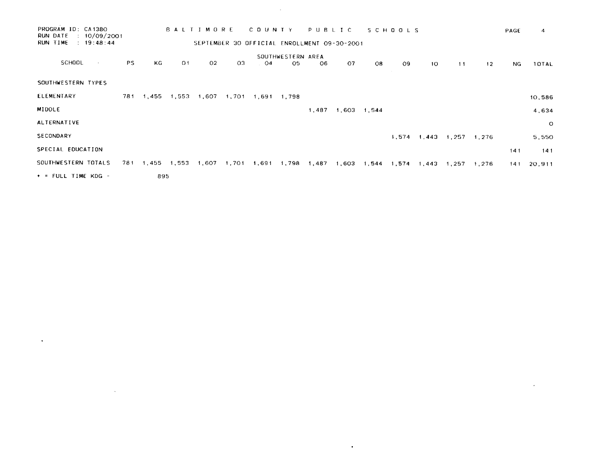| PROGRAM ID: CA1380<br>RUN DATE<br>RUN TIME | $\div$ 10/09/2001<br>: 19:48:44 |     |       | <b>BALTIMORE</b> | SEPTEMBER 30 OFFICIAL ENROLLMENT 09-30-2001 |       | <b>COUNTY</b> |                   | PUBLIC |             |       | SCHOOLS |       |       |       | PAGE | 4            |
|--------------------------------------------|---------------------------------|-----|-------|------------------|---------------------------------------------|-------|---------------|-------------------|--------|-------------|-------|---------|-------|-------|-------|------|--------------|
|                                            |                                 |     |       |                  |                                             |       |               | SOUTHWESTERN AREA |        |             |       |         |       |       |       |      |              |
| SCHOOL                                     | $\sim$                          | PS. | KG    | O <sub>1</sub>   | 02                                          | 03    | $^{04}$       | 05                | 06     | 07          | O8    | 09      | 10    | 11    | 12    | ΝG   | <b>10TAL</b> |
| SOUTHWESTERN TYPES                         |                                 |     |       |                  |                                             |       |               |                   |        |             |       |         |       |       |       |      |              |
| ELEMENTARY                                 |                                 | 781 | 1,455 | 1,553            | 1,607                                       | 1,701 | 1.691         | 1.798             |        |             |       |         |       |       |       |      | 10,586       |
| <b>MIDDLE</b>                              |                                 |     |       |                  |                                             |       |               |                   | 1,487  | 1 603 1 544 |       |         |       |       |       |      | 4,634        |
| ALTERNATIVE                                |                                 |     |       |                  |                                             |       |               |                   |        |             |       |         |       |       |       |      | $\circ$      |
| SECONDARY                                  |                                 |     |       |                  |                                             |       |               |                   |        |             |       | 1,574   | 1,443 | 1,257 | 1,276 |      | 5,550        |
| SPECIAL EDUCATION                          |                                 |     |       |                  |                                             |       |               |                   |        |             |       |         |       |       |       | 141  | 141          |
| SOUTHWESTERN TOTALS                        |                                 | 781 | 1,455 | 1,553            | 1,607                                       | 1,701 | 1,691         | 1,798 1,487       |        | 1,603       | 1,544 | 1,574   | 1,443 | 1,257 | 1,276 | 141  | 20.911       |
| $*$ = FULL TIME KDG -                      |                                 |     | 895   |                  |                                             |       |               |                   |        |             |       |         |       |       |       |      |              |

 $\epsilon$  .

 $\mathcal{L}(\mathcal{L}^{\mathcal{L}})$  and  $\mathcal{L}^{\mathcal{L}}$  are the set of the set of  $\mathcal{L}^{\mathcal{L}}$ 

the contract of the contract of

 $\mathcal{L}(\mathcal{L}(\mathcal{L}(\mathcal{L}(\mathcal{L}(\mathcal{L}(\mathcal{L}(\mathcal{L}(\mathcal{L}(\mathcal{L}(\mathcal{L}(\mathcal{L}(\mathcal{L}(\mathcal{L}(\mathcal{L}(\mathcal{L}(\mathcal{L}(\mathcal{L}(\mathcal{L}(\mathcal{L}(\mathcal{L}(\mathcal{L}(\mathcal{L}(\mathcal{L}(\mathcal{L}(\mathcal{L}(\mathcal{L}(\mathcal{L}(\mathcal{L}(\mathcal{L}(\mathcal{L}(\mathcal{L}(\mathcal{L}(\mathcal{L}(\mathcal{L}(\mathcal{L}(\mathcal{$ 

 $\mathcal{L}^{\text{max}}_{\text{max}}$  and  $\mathcal{L}^{\text{max}}_{\text{max}}$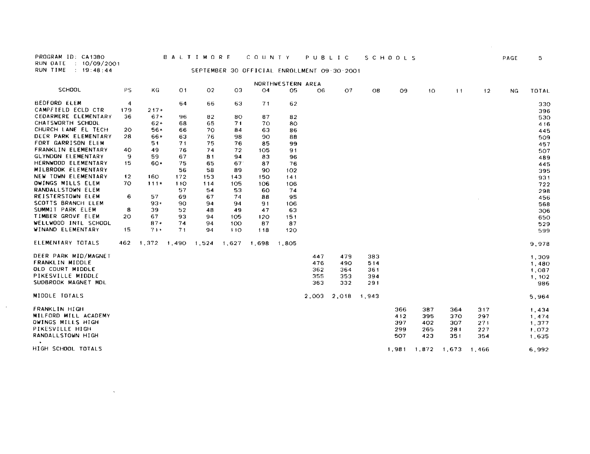PROGRAM ID: CA1380 RUN DATE : 10/09/2001<br>RUN TIME : 19:48:44

**Contract Service** 

 $\sim$ 

#### SEPTEMBER 30 OFFICIAL ENROLLMENT 09-30-2001

|                                 |     |        |                 |                |       |                | NORTHWESTERN AREA |           |       |       |       |             |     |       |           |        |
|---------------------------------|-----|--------|-----------------|----------------|-------|----------------|-------------------|-----------|-------|-------|-------|-------------|-----|-------|-----------|--------|
| SCHOOL                          | PS. | КG     | O <sub>1</sub>  | O <sub>2</sub> | 03    | O <sub>4</sub> | 05                | <b>O6</b> | O7    | 08    | O9    | 10          | 11  | 12    | <b>NG</b> | TOTAL  |
| <b>BEDFORD ELEM</b>             | 4   |        | 64              | 66             | 63    | 71             | 62                |           |       |       |       |             |     |       |           | 330    |
| CAMPFIELD ECLD CTR              | 179 | $217*$ |                 |                |       |                |                   |           |       |       |       |             |     |       |           | 396    |
| CEDARMERE ELEMENTARY            | 36  | $67*$  | 96              | 82             | 80    | 87             | 82                |           |       |       |       |             |     |       |           | 530    |
| CHATSWORTH SCHOOL               |     | $62*$  | 68              | 65             | 71    | -70            | 80                |           |       |       |       |             |     |       |           | 416    |
| CHURCH LANE EL TECH             | 20  | 56*    | 66              | 70             | 84    | 63             | 86                |           |       |       |       |             |     |       |           | 445    |
| DEER PARK ELEMENTARY            | 28  | $66*$  | 63              | 76             | 98    | 90             | 88                |           |       |       |       |             |     |       |           | 509    |
| FORT GARRISON ELEM              |     | 51     | 71              | 75             | 76    | 85             | 99                |           |       |       |       |             |     |       |           | 457    |
| FRANKLIN ELEMENTARY             | 40  | 49     | 76              | 74             | 72    | 105            | 91                |           |       |       |       |             |     |       |           | 507    |
| GLYNDON ELEMENTARY              | 9   | 59     | 67              | 81             | 94    | 83             | 96                |           |       |       |       |             |     |       |           | 489    |
| HERNWOOD ELEMENTARY             | 15  | -60    | 75              | 65             | 67    | 87             | 76                |           |       |       |       |             |     |       |           | 445    |
| MILBROOK ELEMENTARY             |     |        | 56              | 58             | 89    | 90             | 102               |           |       |       |       |             |     |       |           | 395    |
| NEW TOWN ELEMENTARY             | 12  | 160    | 172             | 153            | 143   | 150            | 141               |           |       |       |       |             |     |       |           | 931    |
| OWINGS MILLS ELEM               | 70. | $111*$ | 110             | 114            | 105   | 106            | 106               |           |       |       |       |             |     |       |           | 722    |
| RANDALLSTOWN ELEM               |     |        | 57              | 54             | 53    | 60             | 74                |           |       |       |       |             |     |       |           | 298    |
| REISTERSTOWN ELEM               | 6   | 57     | 69              | 67             | 74    | 88             | 95                |           |       |       |       |             |     |       |           | 456    |
| SCOTTS BRANCH ELEM              |     | $93*$  | 90              | 94.            | 94    | 91             | 106               |           |       |       |       |             |     |       |           | 568    |
| SUMMIT PARK ELEM                | 8   | 39     | 52              | 48             | 49    | 47             | 63                |           |       |       |       |             |     |       |           | 306    |
| TIMBER GROVE ELEM               | 20. | 67     | 93              | 94             | 105   | 120            | 151               |           |       |       |       |             |     |       |           | 650    |
| WELLWOOD INTL SCHOOL            |     | $87*$  | 74              | 94             | 100   | 87             | 87                |           |       |       |       |             |     |       |           | 529    |
| WINAND ELEMENTARY               | 15  | $71+$  | 71              | 94             | 110   | 118            | 120               |           |       |       |       |             |     |       |           | 599    |
| ELEMENTARY TOTALS               | 462 |        | $1,372$ $1,490$ | 1,524          | 1,627 | 1 698          | 1,805             |           |       |       |       |             |     |       |           | 9,978  |
| DEER PARK MID/MAGNET            |     |        |                 |                |       |                |                   | 447       | 479   | 383   |       |             |     |       |           | 1.309  |
| FRANKLIN MIDDLE                 |     |        |                 |                |       |                |                   | 476       | 490   | 514   |       |             |     |       |           | 1,480  |
| OLD COURT MIDDLE                |     |        |                 |                |       |                |                   | 362       | 364   | 361   |       |             |     |       |           | 1,087  |
| PIKESVILLE MIDDLE               |     |        |                 |                |       |                |                   | 355       | 353   | 394   |       |             |     |       |           | 1, 102 |
| SUDBROOK MAGNET MDL             |     |        |                 |                |       |                |                   | 363       | 332   | 291   |       |             |     |       |           | 986    |
| MIDDLE TOTALS                   |     |        |                 |                |       |                |                   | 2,003     | 2,018 | 1,943 |       |             |     |       |           | 5,964  |
| FRANKLIN HIGH                   |     |        |                 |                |       |                |                   |           |       |       | 366   | 387         | 364 | 317   |           | 1.434  |
| MILFORD MILL ACADEMY            |     |        |                 |                |       |                |                   |           |       |       | 412   | 395         | 370 | 297   |           | 1.474  |
| OWINGS MILLS HIGH               |     |        |                 |                |       |                |                   |           |       |       | 397   | 402         | 307 | 271   |           | 1,377  |
| PIKESVILLE HIGH                 |     |        |                 |                |       |                |                   |           |       |       | 299   | 265         | 281 | 227   |           | 1.072  |
| RANDALLSTOWN HIGH               |     |        |                 |                |       |                |                   |           |       |       | 507   | 423         | 351 | 354   |           | 1.635  |
| $\bullet$<br>HIGH SCHOOL TOTALS |     |        |                 |                |       |                |                   |           |       |       | 1,981 | 1,872 1,673 |     | 1.466 |           | 6,992  |

 $\mathcal{L}^{\text{max}}_{\text{max}}$  and  $\mathcal{L}^{\text{max}}_{\text{max}}$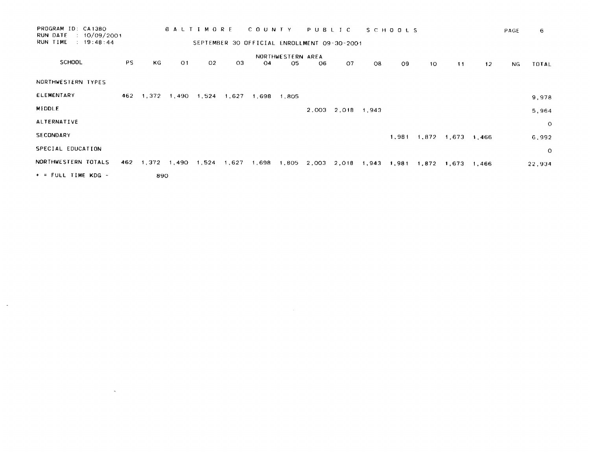| PROGRAM ID: CA1380<br>: 10/09/2001<br>RUN DATE |     |       | <b>BALTIMORE</b> |                |       | <b>COUNTY</b>                               |                   | PUBLIC |       |       | SCHOOLS |             |       |       | PAGE | 6.      |
|------------------------------------------------|-----|-------|------------------|----------------|-------|---------------------------------------------|-------------------|--------|-------|-------|---------|-------------|-------|-------|------|---------|
| RUN TIME<br>19:48:44                           |     |       |                  |                |       | SEPTEMBER 30 OFFICIAL ENROLLMENT 09-30-2001 |                   |        |       |       |         |             |       |       |      |         |
|                                                |     |       |                  |                |       |                                             | NORTHWESTERN AREA |        |       |       |         |             |       |       |      |         |
| SCHOOL                                         | PS. | KG.   | O <sub>1</sub>   | O <sub>2</sub> | O3    | 04                                          | 05                | 06     | O7    | O8    | 09      | 10          | 11    | 12    | NG.  | TOTAL   |
| NORTHWESTERN TYPES                             |     |       |                  |                |       |                                             |                   |        |       |       |         |             |       |       |      |         |
| ELEMENTARY                                     | 462 | 1,372 | 1.490            | 1,524          | 1,627 | 1,698                                       | 1,805             |        |       |       |         |             |       |       |      | 9,978   |
| MIDDLE                                         |     |       |                  |                |       |                                             |                   | 2,003  | 2.018 | 1,943 |         |             |       |       |      | 5,964   |
| ALTERNATIVE                                    |     |       |                  |                |       |                                             |                   |        |       |       |         |             |       |       |      | $\circ$ |
| SECONDARY                                      |     |       |                  |                |       |                                             |                   |        |       |       | 1,981   | 1,872 1,673 |       | 1.466 |      | 6,992   |
| SPECIAL EDUCATION                              |     |       |                  |                |       |                                             |                   |        |       |       |         |             |       |       |      | $\circ$ |
| NORTHWESTERN TOTALS                            | 462 | 1,372 | 1,490            | 1,524          | 1,627 | 1,698                                       | 1,805             | 2,003  | 2,018 | 1,943 | 1,981   | 1,872       | 1.673 | 1,466 |      | 22,934  |
| $*$ = FULL TIME KDG -                          |     | 890   |                  |                |       |                                             |                   |        |       |       |         |             |       |       |      |         |

 $\mathcal{A}^{\mathcal{A}}$  and  $\mathcal{A}^{\mathcal{A}}$  and  $\mathcal{A}^{\mathcal{A}}$ 

 $\mathcal{L}(\mathcal{L}(\mathcal{L}))$  and  $\mathcal{L}(\mathcal{L}(\mathcal{L}))$  . The contribution of  $\mathcal{L}(\mathcal{L})$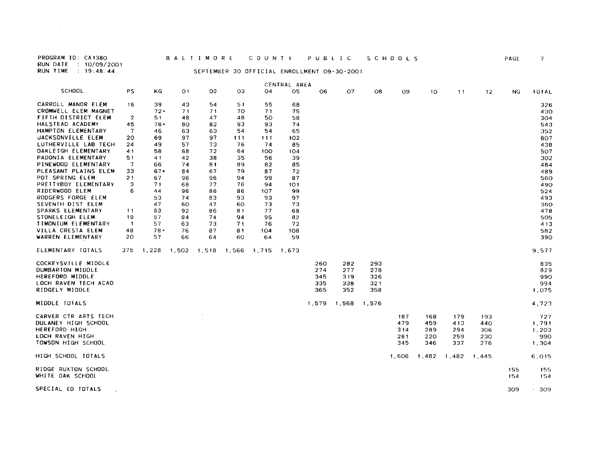**RUN DATE : 10/09/2001<br>RUN TIME : 19:48:44** 

 $\label{eq:2.1} \mathcal{L}(\mathcal{L}^{\text{max}}_{\mathcal{L}}(\mathcal{L}^{\text{max}}_{\mathcal{L}})) \leq \mathcal{L}(\mathcal{L}^{\text{max}}_{\mathcal{L}}(\mathcal{L}^{\text{max}}_{\mathcal{L}}))$ 

### PROGRAM ID : CA 1380 B <sup>A</sup> <sup>L</sup> <sup>T</sup> <sup>I</sup> M 0 R <sup>E</sup> C 0 U N T <sup>Y</sup> P U B <sup>L</sup> <sup>I</sup> C S C H 0 0 <sup>L</sup> S PAGE <sup>7</sup>

### SEPTEMBER 30 OFFICIAL ENROLLMENT 09-30-2001

 $\mathcal{L}^{\text{max}}_{\text{max}}$ 

|                          |                |       |                |       |       |       | CENTRAL AREA |       |       |       |       |                 |       |       |     |        |
|--------------------------|----------------|-------|----------------|-------|-------|-------|--------------|-------|-------|-------|-------|-----------------|-------|-------|-----|--------|
| SCHOOL                   | PS.            | ΚG    | O <sub>1</sub> | 02    | OЗ    | 04    | 05           | 06    | 07    | O8    | 09    | 10 <sup>°</sup> | 11    | 12    | NG. | TOTAL  |
| CARROLL MANOR ELEM       | 16             | 39    | 43             | 54    | 51    | 55    | 68           |       |       |       |       |                 |       |       |     | 326    |
| CROMWELL ELEM MAGNET     |                | $72*$ | 71             | 71    | 70    | 71    | 75           |       |       |       |       |                 |       |       |     | 430    |
| FIFTH DISTRICT ELEM      | 2              | 51    | 48             | 47    | 48    | 50    | 58           |       |       |       |       |                 |       |       |     | 304    |
| <b>HALSTEAD ACADEMY</b>  | 45             | $76*$ | 80             | 82    | 93    | 93    | 74           |       |       |       |       |                 |       |       |     | 543    |
| HAMPTON ELEMENTARY       | 7              | 46    | 63             | 63    | 54    | 54    | 65           |       |       |       |       |                 |       |       |     | 352    |
| <b>JACKSONVILLE ELEM</b> | 20             | 69    | 97             | 97    | 111   | 111   | 102          |       |       |       |       |                 |       |       |     | 607    |
| LUTHERVILLE LAB TECH     | 24             | 49    | 57             | 73    | 76    | 74    | 85           |       |       |       |       |                 |       |       |     | 438    |
| OAKLEIGH ELEMENTARY      | 41             | 58    | 68             | 72    | 64    | 100   | 104          |       |       |       |       |                 |       |       |     | 507    |
| PADONIA ELEMENTARY       | 51             | 41    | 42             | 38    | 35    | 56    | 39           |       |       |       |       |                 |       |       |     | 302    |
| PINEWOOD ELEMENTARY      | 7              | 66    | 74             | 81    | 89    | 82    | 85           |       |       |       |       |                 |       |       |     | 484    |
| PLEASANT PLAINS ELEM     | 33             | $67*$ | 84             | 67    | 79    | 87    | 72           |       |       |       |       |                 |       |       |     | 489    |
| POT SPRING ELEM          | 21             | 67    | 96             | 96    | 94    | 99    | 87           |       |       |       |       |                 |       |       |     | 560    |
| PRETTYBOY ELEMENTARY     | з              | 71    | 68             | 77    | 76    | 94    | 101          |       |       |       |       |                 |       |       |     | 490    |
| RIDERWOOD ELEM           | 6              | 44    | 96             | 86    | 86    | 107   | 99           |       |       |       |       |                 |       |       |     | 524    |
| RODGERS FORGE ELEM       |                | 53    | 74             | 83    | 93    | 93    | 97           |       |       |       |       |                 |       |       |     | 493    |
| SEVENTH DIST ELEM        |                | 47    | 60             | 47    | 60    | 73    | 73           |       |       |       |       |                 |       |       |     | 360    |
| SPARKS ELEMENTARY        | 11             | 63    | 92             | 86    | 81    | 77    | 68           |       |       |       |       |                 |       |       |     | 478    |
| STONELEIGH ELEM          | 19             | 57    | 84             | 74    | 94    | 95    | 82           |       |       |       |       |                 |       |       |     | 505    |
| TIMONIUM ELEMENTARY      | $\blacksquare$ | 57    | 63             | 73    | 71    | 76    | 72           |       |       |       |       |                 |       |       |     | 413    |
| VILLA CRESTA ELEM        | 48             | 78*   | 76             | 87    | 81    | 104   | 10B          |       |       |       |       |                 |       |       |     | 582    |
| WARREN ELEMENTARY        | 20             | 57    | 66             | 64    | 60    | 64    | 59           |       |       |       |       |                 |       |       |     | 390    |
| ELEMENTARY TOTALS        | 375            | 1,228 | 1,502          | 1,518 | 1,566 | 1,715 | 1,673        |       |       |       |       |                 |       |       |     | 9,577  |
| COCKEYSVILLE MIDDLE      |                |       |                |       |       |       |              | 260   | 282   | 293   |       |                 |       |       |     | 835    |
| DUMBARTON MIDDLE         |                |       |                |       |       |       |              | 274   | 277   | 278   |       |                 |       |       |     | 829    |
| HEREFORD MIDDLE          |                |       |                |       |       |       |              | 345   | 319   | 326   |       |                 |       |       |     | 990    |
| LOCH RAVEN TECH ACAD     |                |       |                |       |       |       |              | 335   | 338   | 321   |       |                 |       |       |     | 994    |
| RIDGELY MIDDLE           |                |       |                |       |       |       |              | 365   | 352   | 358   |       |                 |       |       |     | 1,075  |
| MIDDLE TOTALS            |                |       |                |       |       |       |              | 1,579 | 1,568 | 1.576 |       |                 |       |       |     | 4,723  |
| CARVER CTR ARTS TECH     |                |       |                |       |       |       |              |       |       |       | 187   | 168             | 179   | 193   |     | 727    |
| DULANEY HIGH SCHOOL      |                |       |                |       |       |       |              |       |       |       | 479   | 459             | 413   | 440   |     | 1,791  |
| HEREFORD HIGH            |                |       |                |       |       |       |              |       |       |       | 314   | 289             | 294   | 306   |     | 1,203  |
| LOCH RAVEN HIGH          |                |       |                |       |       |       |              |       |       |       | 281   | 220             | 259   | 230   |     | 990    |
| TOWSON HIGH SCHOOL       |                |       |                |       |       |       |              |       |       |       | 345   | 346             | 337   | 276   |     | 1,304  |
| HIGH SCHOOL TOTALS       |                |       |                |       |       |       |              |       |       |       | 1,606 | 1,482           | 1.482 | 1,445 |     | 6,015  |
| RIDGE RUXTON SCHOOL      |                |       |                |       |       |       |              |       |       |       |       |                 |       |       | 155 | 155    |
| WHITE OAK SCHOOL         |                |       |                |       |       |       |              |       |       |       |       |                 |       |       | 154 | 154    |
| SPECIAL ED TOTALS        |                |       |                |       |       |       |              |       |       |       |       |                 |       |       | 309 | $-309$ |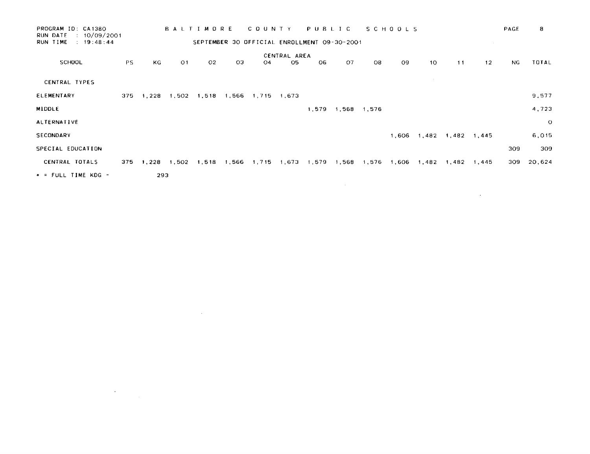| PROGRAM ID: CA1380<br>: 10/09/2001<br>RUN DATE |           |                   |                | <b>BALTIMORE</b> |    | C O U N T Y                                     |              | PUBLIC |       |       | <b>SCHOOLS</b> |       |       |        | PAGE | 8       |
|------------------------------------------------|-----------|-------------------|----------------|------------------|----|-------------------------------------------------|--------------|--------|-------|-------|----------------|-------|-------|--------|------|---------|
| RUN TIME<br>19:48:44                           |           |                   |                |                  |    | SEPTEMBER 30 OFFICIAL ENROLLMENT 09-30-2001     |              |        |       |       |                |       |       | $\sim$ |      |         |
|                                                |           |                   |                |                  |    |                                                 | CENTRAL AREA |        |       |       |                |       |       |        |      |         |
| SCHOOL                                         | <b>PS</b> | KG                | O <sub>1</sub> | O <sub>2</sub>   | OЗ | O <sub>4</sub>                                  | 05           | 06     | O7    | O8    | 09             | 10    | 11    | 12     | NG.  | TOTAL   |
| CENTRAL TYPES                                  |           |                   |                |                  |    |                                                 |              |        |       |       |                |       |       |        |      |         |
| ELEMENTARY                                     | 375       | 1,228 1,502 1,518 |                |                  |    | 1,566 1,715 1,673                               |              |        |       |       |                |       |       |        |      | 9,577   |
| MIDDLE                                         |           |                   |                |                  |    |                                                 |              | 1,579  | 1.568 | 1,576 |                |       |       |        |      | 4,723   |
| ALTERNATIVE                                    |           |                   |                |                  |    |                                                 |              |        |       |       |                |       |       |        |      | $\circ$ |
| SECONDARY                                      |           |                   |                |                  |    |                                                 |              |        |       |       | 1,606          | 1,482 | 1,482 | 1,445  |      | 6,015   |
| SPECIAL EDUCATION                              |           |                   |                |                  |    |                                                 |              |        |       |       |                |       |       |        | 309  | 309     |
| CENTRAL TOTALS                                 | 375       |                   |                |                  |    | 1,228 1,502 1,518 1,566 1,715 1,673 1,579 1,568 |              |        |       | 1,576 | 1,606          | 1,482 | 1,482 | 1,445  | 309  | 20,624  |
| $*$ = FULL TIME KDG -                          |           | 293               |                |                  |    |                                                 |              |        |       |       |                |       |       |        |      |         |
|                                                |           |                   |                |                  |    |                                                 |              |        |       |       |                |       |       |        |      |         |
|                                                |           |                   |                |                  |    |                                                 |              |        |       |       |                |       |       | $\sim$ |      |         |

 $\label{eq:2.1} \frac{1}{\sqrt{2}}\int_{\mathbb{R}^3}\frac{1}{\sqrt{2}}\left(\frac{1}{\sqrt{2}}\right)^2\frac{1}{\sqrt{2}}\left(\frac{1}{\sqrt{2}}\right)^2\frac{1}{\sqrt{2}}\left(\frac{1}{\sqrt{2}}\right)^2\frac{1}{\sqrt{2}}\left(\frac{1}{\sqrt{2}}\right)^2\frac{1}{\sqrt{2}}\left(\frac{1}{\sqrt{2}}\right)^2\frac{1}{\sqrt{2}}\frac{1}{\sqrt{2}}\frac{1}{\sqrt{2}}\frac{1}{\sqrt{2}}\frac{1}{\sqrt{2}}\frac{1}{\sqrt{2}}$ 

 $\label{eq:2.1} \frac{1}{\sqrt{2}}\left(\frac{1}{\sqrt{2}}\right)^{2} \left(\frac{1}{\sqrt{2}}\right)^{2} \left(\frac{1}{\sqrt{2}}\right)^{2} \left(\frac{1}{\sqrt{2}}\right)^{2} \left(\frac{1}{\sqrt{2}}\right)^{2} \left(\frac{1}{\sqrt{2}}\right)^{2} \left(\frac{1}{\sqrt{2}}\right)^{2} \left(\frac{1}{\sqrt{2}}\right)^{2} \left(\frac{1}{\sqrt{2}}\right)^{2} \left(\frac{1}{\sqrt{2}}\right)^{2} \left(\frac{1}{\sqrt{2}}\right)^{2} \left(\$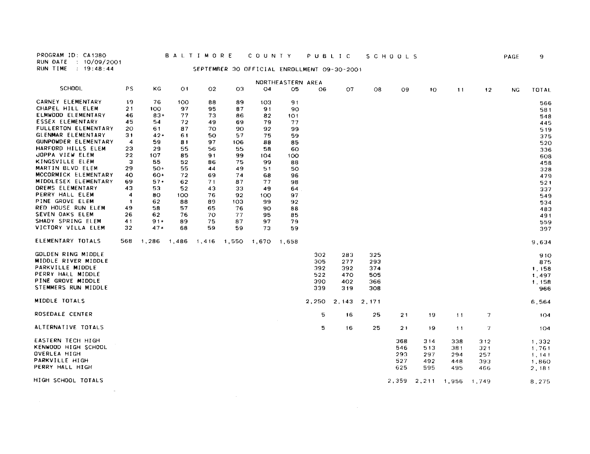PROGRAM ID: CA1380 RUN DATE : 10/09/2001<br>RUN TIME : 19:48:44

#### SEPTEMBER 30 OFFICIAL ENROLLMENT 09-30-2001

|                         |              |                               |                |    |     |     | NORTHEASTERN AREA |       |       |       |     |                   |     |        |     |              |
|-------------------------|--------------|-------------------------------|----------------|----|-----|-----|-------------------|-------|-------|-------|-----|-------------------|-----|--------|-----|--------------|
| <b>SCHOOL</b>           | PS           | ΚG                            | O <sub>1</sub> | 02 | 03  | 04  | 05                | 06    | 07    | O8    | 09  | 10                | 11  | 12     | NG. | <b>TOTAL</b> |
| CARNEY ELEMENTARY       | 19           | 76                            | 100            | 88 | 89  | 103 | 91                |       |       |       |     |                   |     |        |     | 566          |
| CHAPEL HILL ELEM        | 21           | 100                           | 97             | 95 | 87  | 91  | 90                |       |       |       |     |                   |     |        |     | 581          |
| ELMWOOD ELEMENTARY      | 46           | 83*                           | 77             | 73 | 86  | 82  | 101               |       |       |       |     |                   |     |        |     | 548          |
| <b>ESSEX ELEMENTARY</b> | 45           | 54                            | 72             | 49 | 69. | 79  | 77                |       |       |       |     |                   |     |        |     | 445          |
| FULLERTON ELEMENTARY    | 20           | 61                            | 87             | 70 | 90  | 92  | 99                |       |       |       |     |                   |     |        |     | 519          |
| GLENMAR ELEMENTARY      | 31           | $42*$                         | 61             | 50 | 57  | 75  | 59                |       |       |       |     |                   |     |        |     | 375          |
| GUNPOWDER ELEMENTARY    | 4            | 59                            | 81             | 97 | 106 | 88  | 85                |       |       |       |     |                   |     |        |     | 520          |
| HARFORD HILLS ELEM      | 23           | 29                            | 55             | 56 | 55  | 58  | 60                |       |       |       |     |                   |     |        |     | 336          |
| <b>JOPPA VIEW ELEM</b>  | 22           | 107                           | 85             | 91 | 99  | 104 | 100               |       |       |       |     |                   |     |        |     | 608          |
| KINGSVILLE ELEM         | з            | 55                            | 52             | 86 | 75  | 99  | 88                |       |       |       |     |                   |     |        |     | 458          |
| MARTIN BLVD ELEM        | 29           | 50*                           | 55             | 44 | 49  | 51  | 50                |       |       |       |     |                   |     |        |     | 328          |
| MCCORMICK ELEMENTARY    | 40           | 60*                           | 72             | 69 | 74  | 68  | 96                |       |       |       |     |                   |     |        |     | 479          |
| MIDDLESEX ELEMENTARY    | 69           | $57*$                         | 62             | 71 | 87  | 77  | 98                |       |       |       |     |                   |     |        |     | 521          |
| OREMS ELEMENTARY        | 43           | 53.                           | 52             | 43 | 33  | 49  | 64                |       |       |       |     |                   |     |        |     | 337          |
| PERRY HALL ELEM         | 4            | 80.                           | 100            | 76 | 92  | 100 | 97                |       |       |       |     |                   |     |        |     | 549          |
| PINE GROVE ELEM         | $\mathbf{1}$ | 62.                           | 88             | 89 | 103 | 99  | 92                |       |       |       |     |                   |     |        |     | 534          |
| RED HOUSE RUN ELEM      | 49           | 58                            | 57             | 65 | 76  | 90  | 88                |       |       |       |     |                   |     |        |     | 483          |
| SEVEN OAKS ELEM         | 26           | 62                            | 76             | 70 | 77  | 95  | 85                |       |       |       |     |                   |     |        |     | 491          |
| SHADY SPRING ELEM       | 41           | $91*$                         | 89             | 75 | 87  | 97  | 79                |       |       |       |     |                   |     |        |     | 559          |
| VICTORY VILLA ELEM      | 32           | $47*$                         | 68             | 59 | 59  | 73  | 59                |       |       |       |     |                   |     |        |     | 397          |
| ELEMENTARY TOTALS       | 568          | 1,286 1,486 1,416 1,550 1,670 |                |    |     |     | 1.658             |       |       |       |     |                   |     |        |     | 9,634        |
| GOLDEN RING MIDDLE      |              |                               |                |    |     |     |                   | 302   | 283   | 325   |     |                   |     |        |     | 910          |
| MIDDLE RIVER MIDDLE     |              |                               |                |    |     |     |                   | 305   | 277   | 293   |     |                   |     |        |     | 875          |
| PARKVILLE MIDDLE        |              |                               |                |    |     |     |                   | 392   | 392   | 374   |     |                   |     |        |     | 1,158        |
| PERRY HALL MIDDLE       |              |                               |                |    |     |     |                   | 522   | 470   | 505   |     |                   |     |        |     | 1.497        |
| PINE GROVE MIDDLE       |              |                               |                |    |     |     |                   | 390   | 402   | 366   |     |                   |     |        |     | 1,158        |
| STEMMERS RUN MIDDLE     |              |                               |                |    |     |     |                   | 339   | 319   | 308   |     |                   |     |        |     | 966          |
| MIDDLE TOTALS           |              |                               |                |    |     |     |                   | 2,250 | 2,143 | 2.171 |     |                   |     |        |     | 6,564        |
| ROSEDALE CENTER         |              |                               |                |    |     |     |                   | 5     | 16    | 25    | 21  | 19                | 11  | 7      |     | 104          |
| ALTERNATIVE TOTALS      |              |                               |                |    |     |     |                   | 5     | 16    | 25    | 21  | 19                | 11  | $\tau$ |     | 104          |
| EASTERN TECH HIGH       |              |                               |                |    |     |     |                   |       |       |       | 368 | 314               | 338 | 312    |     | 1 332        |
| KENWOOD HIGH SCHOOL     |              |                               |                |    |     |     |                   |       |       |       | 546 | 513               | 381 | 321    |     | 1.761        |
| OVERLEA HIGH            |              |                               |                |    |     |     |                   |       |       |       | 293 | 297               | 294 | 257    |     | 1.141        |
| PARKVILLE HIGH          |              |                               |                |    |     |     |                   |       |       |       | 527 | 492               | 448 | 393    |     | 1,860        |
| PERRY HALL HIGH         |              |                               |                |    |     |     |                   |       |       |       | 625 | 595               | 495 | 466    |     | 2, 181       |
| HIGH SCHOOL TOTALS      |              |                               |                |    |     |     |                   |       |       |       |     | 2,359 2,211 1,956 |     | 1.749  |     | 8,275        |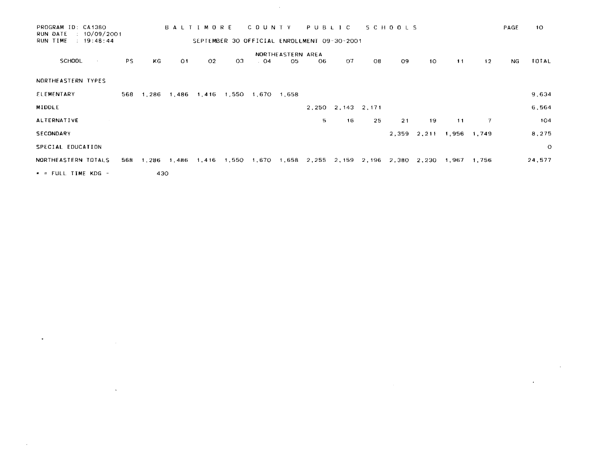| PROGRAM ID: CA1380<br>RUN DATE | $\pm 10/09/2001$ |     |       |    | <b>BALTIMORE</b> |                   | C O U N T Y |                   | PUBLIC                                          |                      |    | SCHOOLS |                 |       |       | PAGE | 10 <sub>1</sub> |
|--------------------------------|------------------|-----|-------|----|------------------|-------------------|-------------|-------------------|-------------------------------------------------|----------------------|----|---------|-----------------|-------|-------|------|-----------------|
| RUN TIME                       | 19:48:44         |     |       |    |                  |                   |             |                   | SEPTEMBER 30 OFFICIAL ENROLLMENT 09-30-2001     |                      |    |         |                 |       |       |      |                 |
|                                |                  |     |       |    |                  |                   |             | NORTHEASTERN AREA |                                                 |                      |    |         |                 |       |       |      |                 |
| SCHOOL                         |                  | PS. | KG.   | 01 | 02               | -03.              | $\cdot$ 04  | O5                | O6                                              | 07                   | O8 | O9.     | 10 <sub>o</sub> | 11    | 12    | NG.  | TOTAL           |
| NORTHEASTERN TYPES             |                  |     |       |    |                  |                   |             |                   |                                                 |                      |    |         |                 |       |       |      |                 |
| ELEMENTARY                     |                  | 568 | 1,286 |    |                  | 1,486 1,416 1,550 | 1,670 1,658 |                   |                                                 |                      |    |         |                 |       |       |      | 9,634           |
| MIDDLE                         |                  |     |       |    |                  |                   |             |                   |                                                 | 2, 250 2, 143 2, 171 |    |         |                 |       |       |      | 6,564           |
| <b>ALTERNATIVE</b>             |                  |     |       |    |                  |                   |             |                   | 5.                                              | 16                   | 25 | 21      | -19             | 11    | -7    |      | 104             |
| SECONDARY                      |                  |     |       |    |                  |                   |             |                   |                                                 |                      |    | 2,359   | 2,211           | 1,956 | 1,749 |      | 8,275           |
| SPECIAL EDUCATION              |                  |     |       |    |                  |                   |             |                   |                                                 |                      |    |         |                 |       |       |      | $\circ$         |
| NORTHEASTERN TOTALS            |                  | 568 | 1,286 |    |                  |                   |             |                   | 1,486 1,416 1,550 1,670 1,658 2,255 2,159 2,196 |                      |    | 2,380   | 2,230           | 1,967 | 1,756 |      | 24,577          |
| $\ast$ = FULL TIME KDG -       |                  |     | 430   |    |                  |                   |             |                   |                                                 |                      |    |         |                 |       |       |      |                 |

 $\mathcal{L}^{\text{max}}_{\text{max}}$  and  $\mathcal{L}^{\text{max}}_{\text{max}}$ 

 $\label{eq:2.1} \frac{1}{\sqrt{2}}\int_{\mathbb{R}^3}\frac{1}{\sqrt{2}}\left(\frac{1}{\sqrt{2}}\right)^2\frac{1}{\sqrt{2}}\left(\frac{1}{\sqrt{2}}\right)^2\frac{1}{\sqrt{2}}\left(\frac{1}{\sqrt{2}}\right)^2\frac{1}{\sqrt{2}}\left(\frac{1}{\sqrt{2}}\right)^2.$ 

 $\label{eq:2.1} \frac{1}{\sqrt{2}}\int_{\mathbb{R}^3}\left|\frac{d\mathbf{x}}{d\mathbf{x}}\right|^2\,d\mathbf{x}^2\,d\mathbf{x}^2\,d\mathbf{x}^2\,d\mathbf{x}^2\,d\mathbf{x}^2\,d\mathbf{x}^2\,d\mathbf{x}^2\,d\mathbf{x}^2\,d\mathbf{x}^2\,d\mathbf{x}^2\,d\mathbf{x}^2\,d\mathbf{x}^2\,d\mathbf{x}^2\,d\mathbf{x}^2\,d\mathbf{x}^2\,d\mathbf{x}^2\,d\mathbf{x}$ 

 $\sim$ 

 $\label{eq:2.1} \frac{1}{2} \left( \frac{1}{2} \left( \frac{1}{2} \right) \right) \left( \frac{1}{2} \left( \frac{1}{2} \right) \right) \left( \frac{1}{2} \left( \frac{1}{2} \right) \right) \left( \frac{1}{2} \left( \frac{1}{2} \right) \right) \left( \frac{1}{2} \left( \frac{1}{2} \right) \right) \left( \frac{1}{2} \left( \frac{1}{2} \right) \right) \left( \frac{1}{2} \left( \frac{1}{2} \right) \right) \left( \frac{1}{2} \left( \frac{1}{2} \right$ 

 $\sim 10^{11}$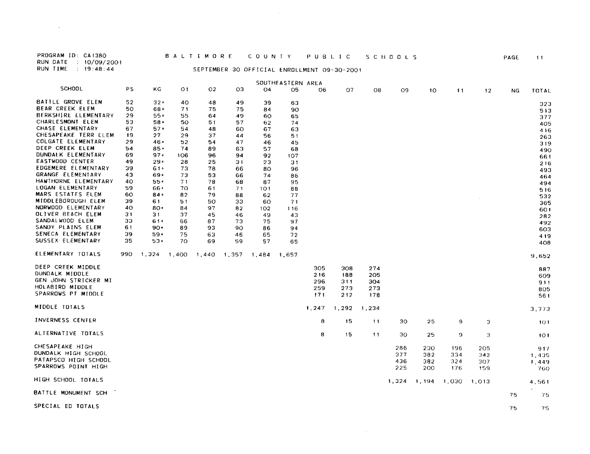| PROGRAM ID: CA1380<br>RUN DATE : 10/09/2001 |    |                             |                | <b>BALTIMORE</b> |     | COUNTY         |                                             |       | PUBLIC     |            | SCHOOLS    |       |       |        | PAGE | 11    |
|---------------------------------------------|----|-----------------------------|----------------|------------------|-----|----------------|---------------------------------------------|-------|------------|------------|------------|-------|-------|--------|------|-------|
| RUN TIME : 19:48:44                         |    |                             |                |                  |     |                | SEPTEMBER 30 OFFICIAL ENROLLMENT 09-30-2001 |       |            |            |            |       |       |        |      |       |
|                                             |    |                             |                |                  |     |                | SOUTHEASTERN AREA                           |       |            |            |            |       |       |        |      |       |
| SCHOOL                                      | PS | ΚG                          | O <sub>1</sub> | 02               | OЗ  | O <sub>4</sub> | 05                                          | 06    | O7         | OB.        | 09         | 10    | 11    | 12     | NG.  | TOTAL |
| BATTLE GROVE ELEM                           | 52 | $32*$                       | 40             | 48               | 49  | 39             | 63                                          |       |            |            |            |       |       |        |      | 323   |
| <b>BEAR CREEK ELEM</b>                      | 50 | 68*                         | 71             | 75               | 75  | 84             | 90                                          |       |            |            |            |       |       |        |      | 513   |
| BERKSHIRE ELEMENTARY                        | 29 | 55*                         | 55             | 64               | 49  | 60             | 65                                          |       |            |            |            |       |       |        |      | 377   |
| CHARLESMONT ELEM                            | 53 | 58*                         | 50             | 51               | 57  | 62             | 74                                          |       |            |            |            |       |       |        |      | 405   |
| CHASE ELEMENTARY                            | 67 | 57*                         | 54             | 48               | 60  | 67             | 63                                          |       |            |            |            |       |       |        |      | 416   |
| CHESAPEAKE TERR ELEM                        | 19 | 27                          | 29             | 37               | 44  | 56             | $-51$                                       |       |            |            |            |       |       |        |      | 263   |
| COLGATE ELEMENTARY                          | 29 | 46*                         | 52             | 54               | 47  | 46             | 45                                          |       |            |            |            |       |       |        |      | 319   |
| DEEP CREEK ELEM                             | 54 | 85*                         | 74             | 89               | 63  | 57             | 68                                          |       |            |            |            |       |       |        |      | 490   |
| DUNDALK ELEMENTARY                          | 69 | $97*$                       | 106            | 96               | 94  | 92             | 107                                         |       |            |            |            |       |       |        |      | 661   |
| <b>EASTWOOD CENTER</b>                      | 49 | 29+                         | 28             | 25               | 31  | 23             | 31                                          |       |            |            |            |       |       |        |      | 216   |
| EDGEMERE ELEMENTARY                         | 39 | 61*                         | 73             | 78               | 66  | 80             | 96                                          |       |            |            |            |       |       |        |      | 493   |
| GRANGE ELEMENTARY                           | 43 | 69+                         | 73             | 53               | 66  | 74             | 86                                          |       |            |            |            |       |       |        |      | 464   |
| HAWTHORNE ELEMENTARY                        | 40 | $55*$                       | 71             | 78               | 68  | 87             | 95                                          |       |            |            |            |       |       |        |      | 494   |
| LOGAN ELEMENTARY                            | 59 | 66+                         | 70             | 61               | 71  | 101            | 88                                          |       |            |            |            |       |       |        |      | 516   |
| MARS ESTATES ELEM                           | 60 | 84*                         | 82             | 79               | 88  | 62             | 77                                          |       |            |            |            |       |       |        |      | 532   |
| MIDDLEBOROUGH ELEM                          | 39 | 61                          | 51             | 50               | 33  | 60             | 71                                          |       |            |            |            |       |       |        |      | 365   |
| NORWOOD ELEMENTARY                          | 40 | 80*                         | 84             | 97               | 82  | 102            | 116                                         |       |            |            |            |       |       |        |      | 601   |
| OLIVER BEACH ELEM                           | 31 | 31                          | 37             | 45               | 46  | 49             | 43                                          |       |            |            |            |       |       |        |      | 282   |
| SANDALWOOD ELEM                             | 33 | $61*$                       | 66             | 87               | 73  | 75             | 97                                          |       |            |            |            |       |       |        |      | 492   |
| SANDY PLAINS ELEM                           | 61 | $90*$                       | 89             | 93               | 90  | 86             | 94                                          |       |            |            |            |       |       |        |      | 603   |
| SENECA ELEMENTARY                           | 39 | 59+                         | 75             | 63               | 46  | 65             | 72                                          |       |            |            |            |       |       |        |      | 419   |
| SUSSEX ELEMENTARY                           | 35 | 53*                         | 70             | 69.              | 59. | 57             | 65                                          |       |            |            |            |       |       |        |      | 408   |
| ELEMENTARY TOTALS                           |    | 990 1.324 1.400 1.440 1.357 |                |                  |     | 1,484          | 1.657                                       |       |            |            |            |       |       |        |      | 9,652 |
| DEEP CREEK MIDDLE                           |    |                             |                |                  |     |                |                                             | 305   |            |            |            |       |       |        |      |       |
| DUNDALK MIDDLE                              |    |                             |                |                  |     |                |                                             | 216   | 308        | 274<br>205 |            |       |       |        |      | 887   |
| GEN JOHN STRICKER MI                        |    |                             |                |                  |     |                |                                             | 296   | 188<br>311 |            |            |       |       |        |      | 609   |
| HOLABIRD MIDDLE                             |    |                             |                |                  |     |                |                                             | 259   | 273        | 304<br>273 |            |       |       |        |      | 911   |
| SPARROWS PT MIDDLE                          |    |                             |                |                  |     |                |                                             | 171   | 212        | 178        |            |       |       |        |      | 805   |
|                                             |    |                             |                |                  |     |                |                                             |       |            |            |            |       |       |        |      | 561   |
| MIDDLE TOTALS                               |    |                             |                |                  |     |                |                                             | 1,247 | 1,292      | 1,234      |            |       |       |        |      | 3,773 |
| <b>INVERNESS CENTER</b>                     |    |                             |                |                  |     |                |                                             | 8     | 15         | 11         | 30         | 25    | 9     | З      |      | 10 I  |
| ALTERNATIVE TOTALS                          |    |                             |                |                  |     |                |                                             | 8     | 15         | 11         | 30.        | 25    | 9     | Э      |      | 101   |
| CHESAPEAKE HIGH                             |    |                             |                |                  |     |                |                                             |       |            |            |            |       |       |        |      |       |
| DUNDALK HIGH SCHOOL                         |    |                             |                |                  |     |                |                                             |       |            |            | 286<br>377 | 230   | 196   | 205    |      | 917   |
| PATAPSCO HIGH SCHOOL                        |    |                             |                |                  |     |                |                                             |       |            |            |            | 382   | 334   | 342    |      | 1,435 |
| SPARROWS POINT HIGH                         |    |                             |                |                  |     |                |                                             |       |            |            | 436        | 382.  | 324   | 307    |      | 1.449 |
|                                             |    |                             |                |                  |     |                |                                             |       |            |            | 225        | 200   | 176   | 159    |      | 760   |
| HIGH SCHOOL TOTALS                          |    |                             |                |                  |     |                |                                             |       |            |            | 1,324      | 1,194 | 1.030 | -1.013 |      | 4,561 |
| BATTLE MONUMENT SCH                         |    |                             |                |                  |     |                |                                             |       |            |            |            |       |       |        | -75  | 75    |
| SPECIAL ED TOTALS                           |    |                             |                |                  |     |                |                                             |       |            |            |            |       |       |        | 75   | 75    |

 $\hat{p}$  and  $\hat{p}$  are  $\hat{p}$  . Then  $\hat{p}$ 

 $\label{eq:2.1} \mathcal{L}(\mathcal{L}^{\mathcal{L}}_{\mathcal{L}}(\mathcal{L}^{\mathcal{L}}_{\mathcal{L}})) = \mathcal{L}(\mathcal{L}^{\mathcal{L}}_{\mathcal{L}}(\mathcal{L}^{\mathcal{L}}_{\mathcal{L}})) = \mathcal{L}(\mathcal{L}^{\mathcal{L}}_{\mathcal{L}}(\mathcal{L}^{\mathcal{L}}_{\mathcal{L}}))$ 

 $\label{eq:2.1} \frac{1}{2} \int_{\mathbb{R}^3} \frac{1}{\sqrt{2}} \left( \frac{1}{2} \int_{\mathbb{R}^3} \frac{1}{\sqrt{2}} \left( \frac{1}{2} \int_{\mathbb{R}^3} \frac{1}{\sqrt{2}} \right) \frac{1}{\sqrt{2}} \right) \, d\mathcal{H}^3 \, d\mathcal{H}^3 \, d\mathcal{H}^3 \, d\mathcal{H}^3 \, d\mathcal{H}^3 \, d\mathcal{H}^3 \, d\mathcal{H}^3 \, d\mathcal{H}^3 \, d\mathcal{H}^3 \, d$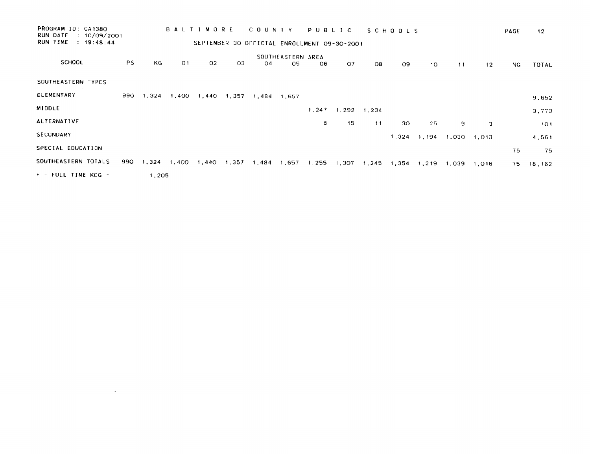| PROGRAM ID: CA1380<br>RUN DATE | : 10/09/2001 |      |       | <b>BALTIMORE</b> |       |       | COUNTY                                      |                   | PUBLIC |       |       | SCHODLS |       |       |                 | PAGE | -12     |
|--------------------------------|--------------|------|-------|------------------|-------|-------|---------------------------------------------|-------------------|--------|-------|-------|---------|-------|-------|-----------------|------|---------|
| RUN TIME                       | 19:48:44     |      |       |                  |       |       | SEPTEMBER 30 OFFICIAL ENROLLMENT 09-30-2001 |                   |        |       |       |         |       |       |                 |      |         |
|                                |              |      |       |                  |       |       |                                             | SOUTHEASTERN AREA |        |       |       |         |       |       |                 |      |         |
| SCHOOL                         |              | PS.  | KG    | O <sub>1</sub>   | 02    | 03    | O4                                          | 05                | 06     | O7    | O8    | 09      | 10    | 11    | 12 <sub>2</sub> | NG.  | TOTAL   |
| SOUTHEASTERN TYPES             |              |      |       |                  |       |       |                                             |                   |        |       |       |         |       |       |                 |      |         |
| ELEMENTARY                     |              | 990  | 1,324 | 1,400            | 1,440 | 1,357 | 1,484                                       | 1,657             |        |       |       |         |       |       |                 |      | 9,652   |
| <b>MIDDLE</b>                  |              |      |       |                  |       |       |                                             |                   | 1,247  | 1,292 | 1,234 |         |       |       |                 |      | 3,773   |
| <b>ALTERNATIVE</b>             |              |      |       |                  |       |       |                                             |                   | 8      | 15    | 11    | 30      | 25    | 9     | З               |      | 101     |
| SECONDARY                      |              |      |       |                  |       |       |                                             |                   |        |       |       | 1,324   | 1,194 | 1,030 | 1,013           |      | 4,561   |
| SPECIAL EDUCATION              |              |      |       |                  |       |       |                                             |                   |        |       |       |         |       |       |                 | 75   | 75      |
| SOUTHEASTERN TOTALS            |              | 990. | 1.324 | 1,400            | 1,440 | 1,357 | 1,484                                       | 1,657             | 1.255  | 1,307 | 1,245 | 1,354   | 1,219 | 1,039 | 1,016           | 75   | 18, 162 |
| * = FULL TIME KDG -            |              |      | 1,205 |                  |       |       |                                             |                   |        |       |       |         |       |       |                 |      |         |

 $\mathcal{L}(\mathcal{L}(\mathcal{L}))$  . The contract of  $\mathcal{L}(\mathcal{L})$  and  $\mathcal{L}(\mathcal{L})$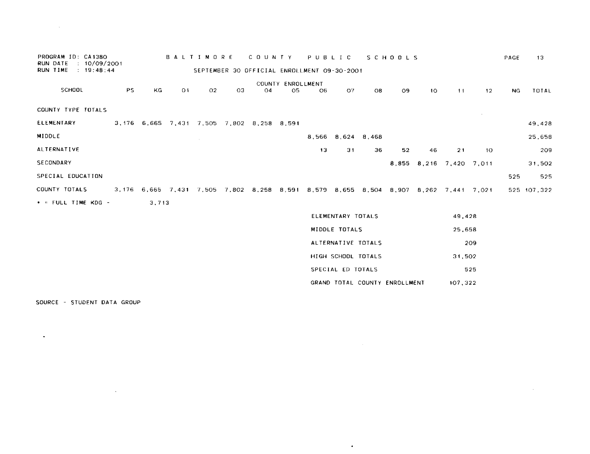| PROGRAM ID: CA1380<br>RUN DATE<br>: 10/09/2001 |     |       |                | BALTIMORE                                                                           |    | C O U N T Y    |                                             | PUBLIC |                    |    | <b>SCHOOLS</b> |                 |                         |                 | PAGE      | 13          |
|------------------------------------------------|-----|-------|----------------|-------------------------------------------------------------------------------------|----|----------------|---------------------------------------------|--------|--------------------|----|----------------|-----------------|-------------------------|-----------------|-----------|-------------|
| RUN TIME : 19:48:44                            |     |       |                |                                                                                     |    |                | SEPTEMBER 30 OFFICIAL ENROLLMENT 09-30-2001 |        |                    |    |                |                 |                         |                 |           |             |
|                                                |     |       |                |                                                                                     |    |                | COUNTY ENROLLMENT                           |        |                    |    |                |                 |                         |                 |           |             |
| SCHOOL                                         | PS. | KG    | O <sub>1</sub> | 02 <sub>2</sub>                                                                     | OЗ | O <sub>4</sub> | 05.                                         | O6.    | O7                 | O8 | 09             | 10 <sub>o</sub> | 11                      | 12              | <b>NG</b> | TOTAL       |
| COUNTY TYPE TOTALS                             |     |       |                |                                                                                     |    |                |                                             |        |                    |    |                |                 |                         |                 |           |             |
| ELEMENTARY                                     |     |       |                | 3, 176 6, 665 7, 431 7, 505 7, 802 8, 258 8, 591                                    |    |                |                                             |        |                    |    |                |                 |                         |                 |           | 49,428      |
| <b>MIDDLE</b>                                  |     |       |                |                                                                                     |    |                |                                             |        | 8,566 8,624 8,468  |    |                |                 |                         |                 |           | 25,658      |
| ALTERNATIVE                                    |     |       |                |                                                                                     |    |                |                                             | 13     | 31                 | 36 | 52             | 46              | 21                      | 10 <sup>°</sup> |           | 209         |
| SECONDARY                                      |     |       |                |                                                                                     |    |                |                                             |        |                    |    |                |                 | 8,855 8,216 7,420 7,011 |                 |           | 31,502      |
| SPECIAL EDUCATION                              |     |       |                |                                                                                     |    |                |                                             |        |                    |    |                |                 |                         |                 | 525       | 525         |
| COUNTY TOTALS                                  |     |       |                | 3,176 6,665 7,431 7,505 7,802 8,258 8,591 8,579 8,655 8,504 8,907 8,262 7,441 7,021 |    |                |                                             |        |                    |    |                |                 |                         |                 |           | 525 107.322 |
| * = FULL TIME KDG -                            |     | 3,713 |                |                                                                                     |    |                |                                             |        |                    |    |                |                 |                         |                 |           |             |
|                                                |     |       |                |                                                                                     |    |                |                                             |        | ELEMENTARY TOTALS  |    |                |                 | 49,428                  |                 |           |             |
|                                                |     |       |                |                                                                                     |    |                |                                             |        | MIDDLE TOTALS      |    |                |                 | 25,658                  |                 |           |             |
|                                                |     |       |                |                                                                                     |    |                |                                             |        | ALTERNATIVE TOTALS |    |                |                 |                         | 209             |           |             |
|                                                |     |       |                |                                                                                     |    |                |                                             |        | HIGH SCHOOL TOTALS |    |                |                 | 31,502                  |                 |           |             |
|                                                |     |       |                |                                                                                     |    |                |                                             |        | SPECIAL ED TOTALS  |    |                |                 |                         | 525             |           |             |

GRAND TOTAL COUNTY ENROLLMENT 107,322

 $\bullet$ 

 $\sim 100$ 

SOURCE - STUDENT DATA GROUP

and the state of the

 $\sim 10^{-11}$ 

 $\sim 10^{-11}$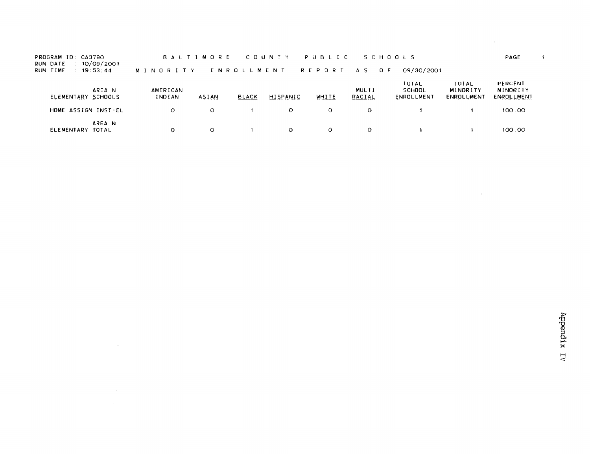| PROGRAM ID: CA379O    |                                            |  | BALTIMORE COUNTY PUBLIC SCHOOLS |  |  | PAGE |  |
|-----------------------|--------------------------------------------|--|---------------------------------|--|--|------|--|
| RUN DATE : 10/09/2001 |                                            |  |                                 |  |  |      |  |
| RUN TIME : 19:53:44   | MINORITY ENROLLMENT REPORTAS OF 09/30/2001 |  |                                 |  |  |      |  |

| AREA N<br>ELEMENTARY SCHOOLS  | AMERICAN<br>I ND I AN | ASIAN | <b>BLACK</b> | <b>HISPANIC</b> | WHITE | <b>MULTI</b><br>RACIAL | TOTAL<br>SCHOOL<br><b>ENROLLMENT</b> | TOTAL<br>MINGRITY<br>ENROLLMENT | <b>PERCENT</b><br>MINORITY<br>ENROLLMENT |
|-------------------------------|-----------------------|-------|--------------|-----------------|-------|------------------------|--------------------------------------|---------------------------------|------------------------------------------|
| HOME ASSIGN INST-EL           |                       |       |              | -0              |       | $\Omega$               |                                      |                                 | 100.00                                   |
| AREA N<br>ELEMENTARY<br>TOTAL |                       |       |              | $\circ$         |       | $\Omega$               |                                      |                                 | 100.00                                   |

 $\sim$ 

 $\sim$ 

 $\label{eq:2.1} \frac{1}{\sqrt{2}}\int_{0}^{\infty}\frac{1}{\sqrt{2\pi}}\left(\frac{1}{\sqrt{2\pi}}\right)^{2}d\mu\left(\frac{1}{\sqrt{2\pi}}\right) \frac{d\mu}{\sqrt{2\pi}}\,.$ 

 $\sim$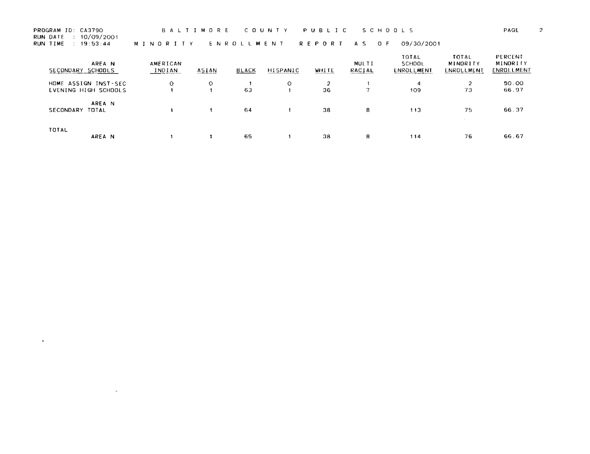RUN DATE : 10/09/2001

 $\sim 10^{-11}$ 

**Construction** 

RUNTIME : 19:53:44 MINORITY ENROLLMENT R E P 0 R T A S 0 <sup>F</sup> 09/30/2001

| AREA N<br>SECONDARY SCHOOLS  | AMERICAN<br>INDIAN | <b>ASIAN</b> | <b>BLACK</b> | <b>HISPANIC</b> | <b>MHITE</b> | MULTI<br>RACIAL | TOTAL<br>SCHOOL<br>ENROLLMENT | TOTAL<br>MINORITY<br>ENROLLMENT | PERCENT<br>MINORITY<br>ENROLLMENT |
|------------------------------|--------------------|--------------|--------------|-----------------|--------------|-----------------|-------------------------------|---------------------------------|-----------------------------------|
| HOME ASSIGN INST-SEC         | $\circ$            | O            |              | O               | 2            |                 |                               | 2                               | 50.00                             |
| EVENING HIGH SCHOOLS         |                    |              | 63           |                 | 36           | 77              | 109                           | 73                              | 66.97                             |
| AREA N<br>SECONDARY<br>TOTAL |                    |              | 64           |                 | 38           | 8               | 113                           | 75                              | 66.37                             |
| TOTAL<br>AREA N              |                    |              | 65           |                 | 38           | 8               | 114                           | 76                              | 66.67                             |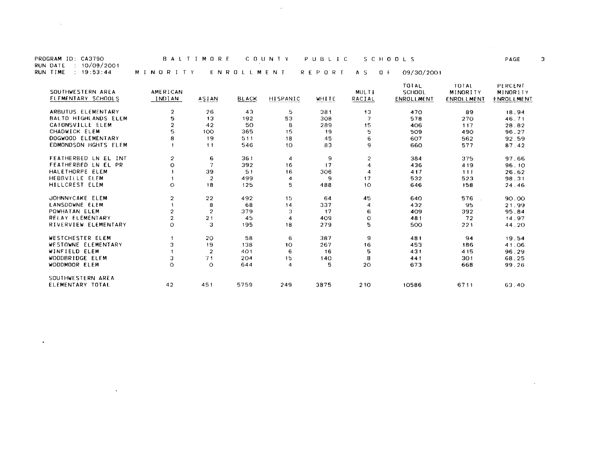PROGRAM ID: CA3790 B A L T I M 0 R E C O U N T Y P U B L I C S C H O O L S C H O PAGE 3

RUN DATE : 10/09/2001

 $\mathcal{L}^{\text{max}}_{\text{max}}$  ,  $\mathcal{L}^{\text{max}}_{\text{max}}$ 

 $\sim$ 

and the contract of

RUN TIME: 19:53:44 MINORITY ENROLLMENT REPORTAS OF 09/30/2001

 $\sim 10^{11}$ 

| SOUTHWESTERN AREA<br>ELEMENTARY SCHOOLS | <b>AMERICAN</b><br>INDIAN | ASIAN          | <b>BLACK</b> | HISPANIC | WHITE | <b>MULTI</b><br>RACIAL | TOTAL<br><b>SCHOOL</b><br>ENROLLMENT | TOTAL.<br>MINORITY<br><b>ENROLLMENT</b> | PERCENT<br>MINORITY<br>ENROLLMENT |
|-----------------------------------------|---------------------------|----------------|--------------|----------|-------|------------------------|--------------------------------------|-----------------------------------------|-----------------------------------|
| ARBUTUS ELEMENTARY                      | $\overline{2}$            | 26             | 43           | 5        | 381   | 13                     | 470                                  | 89                                      | 18.94                             |
| BALTO HIGHLANDS ELEM                    | 5                         | -13            | 192          | 53       | 308   | 7                      | 578                                  | 270                                     | 46.71                             |
| CATONSVILLE ELEM                        |                           | 42             | 50           | 8        | 289   | 15                     | 406                                  | 117                                     | 28.82                             |
| CHADWICK ELEM                           | 5                         | 100            | 365          | 15       | 19    | 5                      | 509                                  | 490                                     | 96.27                             |
| DOGWOOD ELEMENTARY                      |                           | 19             | 511          | 18       | 45    | 6                      | 607                                  | 562                                     | 92.59                             |
| EDMONDSON HGHTS ELEM                    |                           | 11             | 546          | 10       | 83    | 9                      | 660                                  | 577                                     | 87.42                             |
| FEATHERBED LN EL INT                    | $\overline{2}$            | 6              | 361          | 4        | 9     | 2                      | 384                                  | 375                                     | 97.66                             |
| FEATHERBED LN EL PR                     | $\Omega$                  | 7              | 392          | 16       | 17    | 4                      | 436                                  | 419                                     | 96.10                             |
| HALETHORPE ELEM                         |                           | 39             | 51           | 16       | 306   |                        | 417                                  | 111                                     | 26.62                             |
| <b>HEBBVILLE ELEM</b>                   |                           | $\overline{2}$ | 499          | 4        | 9     | 17                     | 532                                  | 523                                     | 98.31                             |
| HILLCREST ELEM                          | $\circ$                   | 18             | 125          | 5        | 488   | 10                     | 646                                  | 158                                     | 24.46                             |
| JOHNNYCAKE ELEM                         | $\overline{2}$            | 22             | 492          | 15       | 64    | 45                     | 640                                  | 576                                     | 90.00                             |
| <b>LANSDOWNE ELEM</b>                   |                           | 8              | 68           | 14       | 337   | 4                      | 432                                  | 95                                      | 21.99                             |
| POWHATAN ELEM                           | 2                         | 2              | 379          | 3        | 17    | 6                      | 409                                  | 392                                     | 95.84                             |
| <b>RELAY ELEMENTARY</b>                 |                           | 21             | 45           | 4        | 409   | o                      | 481                                  | 72                                      | 14.97                             |
| RIVERVIEW ELEMENTARY                    | $\Omega$                  | 3              | 195          | 18       | 279   | 5.                     | 500                                  | 221                                     | 44.20                             |
| WESTCHESTER ELEM                        |                           | 20             | 58           | 6        | 387   | 9                      | 481                                  | 94                                      | 19.54                             |
| WESTOWNE ELEMENTARY                     | 2                         | 19             | 138          | 10       | 267   | 16                     | 453                                  | 186                                     | 41.06                             |
| WINFIELD ELEM                           |                           | 2              | 401          | 6        | 16    | 5.                     | 431                                  | 415                                     | 96.29                             |
| WOODBRIDGE ELEM                         | З                         | 71             | 204          | 15       | 140   | 8                      | 441                                  | 301                                     | 68.25                             |
| WOODMOOR ELEM                           | Ō                         | $\circ$        | 644          | 4        | 5     | 20                     | 673                                  | 668                                     | 99.26                             |
| SOUTHWESTERN AREA                       |                           |                |              |          |       |                        |                                      |                                         |                                   |
| ELEMENTARY TOTAL                        | 42                        | 451            | 5759         | 249      | 3875  | 210                    | 10586                                | 6711                                    | 63.40                             |

 $\sim 10^{-1}$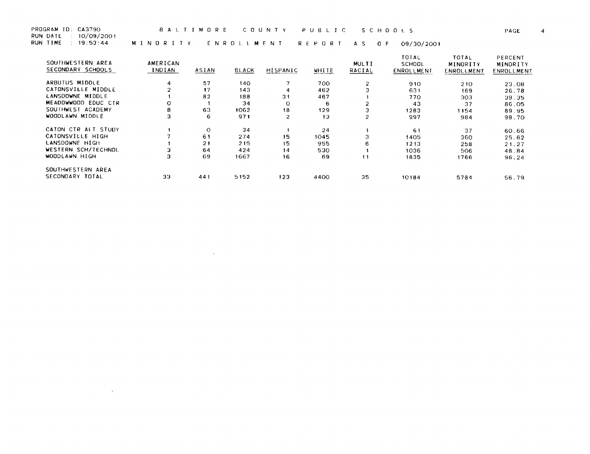RUN DATE : 10/09/2001

PROGRAM ID: CA3790 BALTIMORE COUNTY PUBLIC SCHOOLS PAGE 4

RUN TIME : 19 :53 :44

 $\mathcal{L}(\mathcal{L}^{\mathcal{L}})$  and  $\mathcal{L}(\mathcal{L}^{\mathcal{L}})$  . The contribution

MINORITY ENROLLMENT REPORTAS OF 09/30/2001

| SOUTHWESTERN AREA<br>SECONDARY SCHOOLS | AMERICAN<br>INDIAN | <b>ASIAN</b> | BLACK | <b>HISPANIC</b> | WHITE | <b>MULTI</b><br>RACIAL | TOTAL<br>SCHOOL<br>ENROLLMENT | TOTAL<br>MINORITY<br>ENROLLMENT | PERCENT<br>MINORITY<br><b>ENROLLMEN1</b> |
|----------------------------------------|--------------------|--------------|-------|-----------------|-------|------------------------|-------------------------------|---------------------------------|------------------------------------------|
| ARBUTUS MIDDLE                         | 4                  | 57           | 140   |                 | 700   | $\overline{2}$         | 910                           | 210                             | 23.08                                    |
| CATONSVILLE MIDDLE                     |                    | 17           | 143   |                 | 462   | з                      | 631                           | 169                             | 26.78                                    |
| LANSDOWNE MIDDLE                       |                    | 82           | 188   | 31              | 467   |                        | 770.                          | 303.                            | 39.35                                    |
| MEADOWWOOD EDUC CTR                    |                    |              | 34    | $\circ$         | 6     |                        | 43                            | 37                              | 86.05                                    |
| SOUTHWEST ACADEMY                      | 8.                 | 63           | 1062  | 18              | 129   | з                      | 1283                          | 1154                            | 89.95                                    |
| WOODLAWN MIDDLE                        | з                  | 6            | 971   | 2               | 13    | $\overline{2}$         | 997                           | 984                             | 98.70                                    |
| CATON CTR ALT STUDY                    |                    | $\Omega$     | 34    |                 | 24    |                        | 61                            | 37                              | 60.66                                    |
| CATONSVILLE HIGH                       |                    | 61           | 274   | 15              | 1045  | 3                      | 1405                          | 360                             | 25.62                                    |
| LANSDOWNE HIGH                         |                    | 21           | 215   | 15              | 955   | 6                      | 1213                          | 258                             | 21.27                                    |
| WESTERN SCH/TECHNOL                    |                    | 64           | 424   | 14              | 530   |                        | 1036                          | 506                             | 48.84                                    |
| WOODLAWN HIGH                          | 3                  | 69           | 1667  | 16              | 69    | 11                     | 1835                          | 1766                            | 96.24                                    |
| SOUTHWESTERN AREA                      |                    |              |       |                 |       |                        |                               |                                 |                                          |
| SECONDARY TOTAL                        | 33                 | 441          | 5152  | 123             | 4400  | 35                     | 10184                         | 5784                            | 56.79                                    |

 $\mathcal{L}^{\text{max}}_{\text{max}}$  , where  $\mathcal{L}^{\text{max}}_{\text{max}}$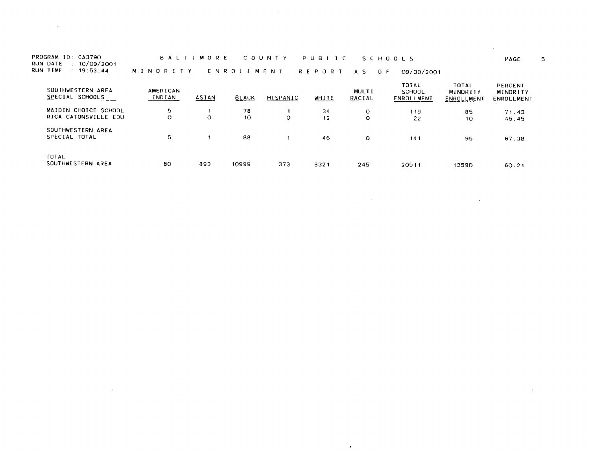| PROGRAM ID: CA3790<br>RUN DATE : 10/09/2001 | BALTIMORE COUNTY PUBLIC SCHOOLS                   | 5.<br>PAGE              |
|---------------------------------------------|---------------------------------------------------|-------------------------|
| RUN TIME : 19:53:44                         | MINORITY<br>ENROLLMENT REPORTAS OF<br>-09/30/2001 |                         |
|                                             | TOTAL                                             | TOTAI<br><b>DEDCENT</b> |

 $\sim 100$ 

| SOUTHWESTERN AREA<br>SPECIAL SCHOOLS         | AMERICAN<br>INDIAN | <b>ASTAN</b> | <b>BLACK</b> | HISPANIC | WHITE    | <b>MULTI</b><br>RACIAL | ,,,,,<br>SCHOOL<br>ENROLLMENT | 1 U I A L<br><b>MINORITY</b><br>ENROLLMENT | PERUENI<br>MINORITY<br>ENROLLMENT |
|----------------------------------------------|--------------------|--------------|--------------|----------|----------|------------------------|-------------------------------|--------------------------------------------|-----------------------------------|
| MAIDEN CHOICE SCHOOL<br>RICA CATONSVILLE EDU | 5<br>o             | O            | 78<br>10     | o        | 34<br>12 | O<br>o                 | 119<br>22                     | 85<br>10                                   | 71.43<br>45.45                    |
| SOUTHWESTERN AREA<br>SPECIAL TOTAL           | 5                  |              | 88           |          | 46       | $\circ$                | 141                           | 95                                         | 67.38                             |
| TOTAL<br>SOUTHWESTERN AREA                   | 80                 | 893          | 10999        | 373      | 8321     | 245                    | 20911                         | 12590                                      | 60.21                             |

 $\mathcal{L}^{\text{max}}_{\text{max}}$  , where  $\mathcal{L}^{\text{max}}_{\text{max}}$ 

 $\label{eq:2.1} \frac{1}{\sqrt{2}}\int_{\mathbb{R}^3}\frac{1}{\sqrt{2}}\left(\frac{1}{\sqrt{2}}\right)^2\left(\frac{1}{\sqrt{2}}\right)^2\left(\frac{1}{\sqrt{2}}\right)^2\left(\frac{1}{\sqrt{2}}\right)^2\left(\frac{1}{\sqrt{2}}\right)^2\left(\frac{1}{\sqrt{2}}\right)^2.$ 

 $\bullet$ 

**Contract Contract State** 

 $\sim 100$  km  $^{-1}$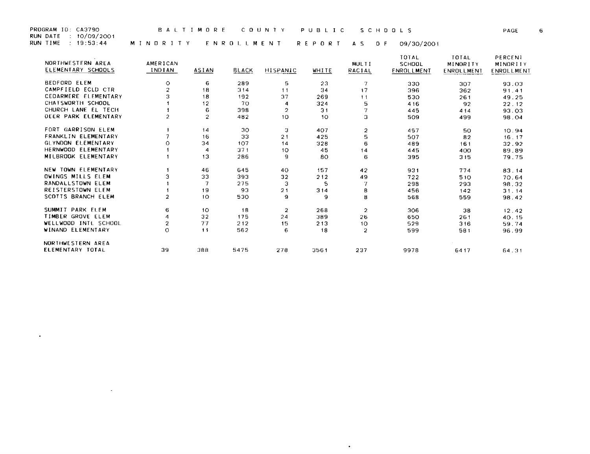RUN DATE : 10/09/2001

PROGRAM ID: CA3790 BALTIMORE COUNTY PUBLIC SCHOOLS PAGE 6

RUN TIME :  $19:53:44$ 

 $\sim$ 

 $\mathcal{L}^{\text{max}}_{\text{max}}$  and  $\mathcal{L}^{\text{max}}_{\text{max}}$ 

N D R I T Y EN R O L L M E N T R E P O R T A S O F 09/30/200

 $\sim$ 

| NORTHWESTERN AREA<br>ELEMENTARY SCHOOLS | AMERICAN<br>INDIAN | ASIAN          | <b>BLACK</b> | <b>HISPANIC</b> | WHITE | MULTI<br>RACIAL | TOTAL<br>SCHOOL<br>ENROLLMENT | TOTAL<br>MINORITY<br>ENROLLMENT | PERCENT<br>MINORITY<br>ENROLLMENT |
|-----------------------------------------|--------------------|----------------|--------------|-----------------|-------|-----------------|-------------------------------|---------------------------------|-----------------------------------|
| <b>BEDFORD ELEM</b>                     | $\circ$            | 6              | 289          | 5.              | 23    | 7               | 330                           | 307                             | 93.03                             |
| CAMPFIELD ECLD CTR                      | 2                  | 18             | 314          | 11              | 34    | 17              | 396                           | 362                             | 91.41                             |
| CEDARMERE ELEMENTARY                    |                    | 18             | 192          | 37              | 269   | 11              | 530                           | 261                             | 49.25                             |
| CHATSWORTH SCHOOL                       |                    | 12             | 70           | 4               | 324   | 5.              | 416                           | 92                              | 22.12                             |
| CHURCH LANE EL TECH                     |                    | 6              | 398          | $\overline{2}$  | 31    |                 | 445                           | 414                             | 93.03                             |
| DEER PARK ELEMENTARY                    | 2                  | $\overline{c}$ | 482          | 10              | 10    | 3               | 509                           | 499                             | 98.04                             |
| FORT GARRISON ELEM                      |                    | 14             | 30.          | з               | 407   | $\overline{a}$  | 457                           | 50                              | 10.94                             |
| FRANKLIN ELEMENTARY                     |                    | 16             | 33           | 21              | 425   | 5.              | 507                           | 82                              | 16.17                             |
| GLYNDON ELEMENTARY                      | O                  | 34             | 107          | 14              | 328   | 6               | 489                           | 161                             | 32.92                             |
| HERNWOOD ELEMENTARY                     |                    | 4              | 371          | 10              | 45    | 14              | 445                           | 400                             | 89.89                             |
| MILBROOK ELEMENTARY                     |                    | 13             | 286          | 9               | 80    | 6               | 395                           | 315                             | 79.75                             |
| NEW TOWN ELEMENTARY                     |                    | 46             | 645          | 40              | 157   | 42              | 931                           | 774                             | 83.14                             |
| OWINGS MILLS ELEM                       |                    | 33             | 393          | 32              | 212   | 49              | 722                           | 510                             | 70.64                             |
| RANDALLSTOWN ELEM                       |                    | $\overline{7}$ | 275          | 3               | 5     | $\tau$          | 298                           | 293                             | 98.32                             |
| REISTERSTOWN ELEM                       |                    | 19             | 93           | 21              | 314   | 8               | 456                           | 142                             | 31.14                             |
| SCOTTS BRANCH ELEM                      | 2                  | 1 <sub>O</sub> | 530          | 9               | 9     | 8               | 568                           | 559                             | 98.42                             |
| SUMMIT PARK ELEM                        | 6                  | 10             | 18           | 2               | 268   | 2               | 306                           | 38                              | 12.42                             |
| TIMBER GROVE ELEM                       |                    | 32             | 175          | 24              | 389   | 26              | 650                           | 261                             | 40.15                             |
| WELLWOOD INTL SCHOOL                    | 2                  | 77             | 212          | 15              | 213   | 10              | 529                           | 316                             | 59.74                             |
| WINAND ELEMENTARY                       | $\Omega$           | 11             | 562          | 6               | 18    | $\overline{2}$  | 599                           | 581                             | 96.99                             |
| NORTHWESTERN AREA                       |                    |                |              |                 |       |                 |                               |                                 |                                   |
| ELEMENTARY TOTAL                        | 39                 | 388            | 5475         | 278             | 3561  | 237             | 9978                          | 6417                            | 64.31                             |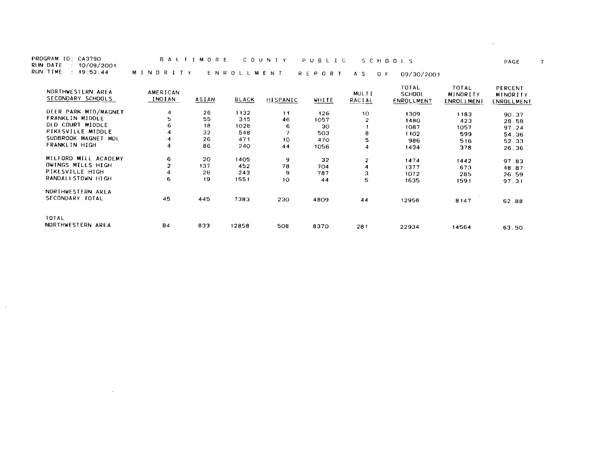| PROGRAM ID: CA3790<br>RUN DATE : 10/09/2001 | BALTIMORE COUNTY PUBLIC SCHOOLS             | PAGE |  |
|---------------------------------------------|---------------------------------------------|------|--|
| RUN TIME 19:53.44                           | MINORITY ENROLLMENT REPORT AS OF 09/30/2001 |      |  |

 $\sim 10^{-10}$ 

 $\mathcal{L}(\mathcal{L}(\mathcal{L}))$  and  $\mathcal{L}(\mathcal{L}(\mathcal{L}))$  . The contribution of  $\mathcal{L}(\mathcal{L})$ 

| NORTHWESTERN AREA<br>SECONDARY SCHOOLS | AMERICAN<br>INDIAN | <b>ASIAN</b> | <b>BLACK</b> | HISPANIC | <b>WHITE</b> | <b>MULTI</b><br>RACIAL | TOTAL<br>SCHOOL<br>ENROLLMENT | TOTAL<br>MINORITY<br>ENROLLMENT | PERCENT<br>MINORITY<br>ENROLLMENT |
|----------------------------------------|--------------------|--------------|--------------|----------|--------------|------------------------|-------------------------------|---------------------------------|-----------------------------------|
| DEER PARK MID/MAGNET                   | 4                  | 26           | 1132         | 11       | 126          | 10                     | 1309                          | 1183                            | 90.37                             |
| FRANKLIN MIDDLE                        | 5                  | 55           | 315          | 46       | 1057         | $\overline{2}$         | 1480                          | 423                             | 28.58                             |
| OLD COURT MIDDLE                       | 6                  | 18           | 1026         | 6        | 30           | - 1                    | 1087                          | 1057                            | 97.24                             |
| PIKESVILLE MIDDLE                      | 4                  | 32           | 548          |          | 503.         | 8                      | 1102                          | 599                             |                                   |
| SUDBROOK MAGNET MDL                    | 4                  | 26           | 471          | 10       | 470          | 5                      |                               |                                 | 54.36                             |
| FRANKLIN HIGH                          | 4                  | 86           | 240          | 44       | 1056         |                        | 986                           | 516                             | 52.33                             |
|                                        |                    |              |              |          |              | 4                      | 1434                          | 378                             | 26.36                             |
| MILFORD MILL ACADEMY                   | 6.                 | 20           | 1405         | 9        | 32           | 2                      | 1474                          | 1442                            | 97.83                             |
| OWINGS MILLS HIGH                      | $\overline{2}$     | 137          | 452          | 78       | 704          | 4                      | 1377                          | 673                             | 48.87                             |
| PIKESVILLE HIGH                        | 4                  | 26           | 243          | 9        | 787          | з                      | 1072                          | 285                             | 26.59                             |
| RANDALLSTOWN HIGH                      | 6                  | 19           | 1551         | 10       | 44           | 5                      | 1635                          | 1591                            | 97.31                             |
| NORTHWESTERN AREA<br>SECONDARY TOTAL   | 45                 | 445          | 7383         | 230      | 4809         | 44                     | 12956                         | 8147                            | 62.88                             |
| TOTAL<br>NORTHWESTERN AREA             | 84                 | 833          | 12858        | 508      | 8370         | 281                    | 22934                         | 14564                           | 63.50                             |

the control of the control of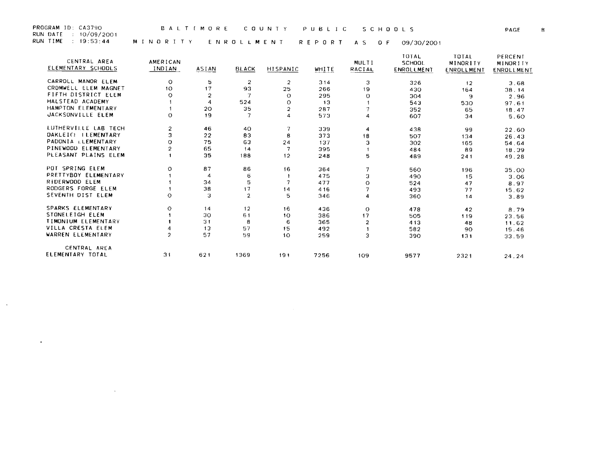$\sim$ 

 $\sim$ 

 $\mathcal{L}^{\text{max}}_{\text{max}}$  , where  $\mathcal{L}^{\text{max}}_{\text{max}}$ 

PROGRAM ID : CA3790 <sup>B</sup> <sup>A</sup> <sup>L</sup> <sup>T</sup> <sup>I</sup> <sup>M</sup> <sup>0</sup> <sup>R</sup> <sup>E</sup> <sup>C</sup> 0 <sup>U</sup> <sup>N</sup> <sup>T</sup> <sup>Y</sup> <sup>P</sup> <sup>U</sup> 6 <sup>L</sup> <sup>I</sup> <sup>C</sup> <sup>S</sup> <sup>C</sup> H <sup>0</sup> 0 <sup>L</sup> <sup>S</sup> PAGE <sup>8</sup> RUN DATE t0/09/2001

RUNTIME : 19:53:44 MINORITY ENROLLMENT REPORT AS OF 09/30/200

| CENTRAL AREA<br>ELEMENTARY SCHOOLS | AMERICAN<br>INDIAN | <b>ASIAN</b> | <b>BLACK</b> | HISPANIC                | WHITE | MULT1<br>RACIAL | TOTAL<br>SCHOOL<br>ENROLLMENT | TOTAL<br><b>MINOR1TY</b><br>ENROLLMENT | PERCENT<br>MINORITY<br>ENROLLMENT |
|------------------------------------|--------------------|--------------|--------------|-------------------------|-------|-----------------|-------------------------------|----------------------------------------|-----------------------------------|
| CARROLL MANOR ELEM                 | $\Omega$           | 5            | 2            | 2                       | 314   | з               | 326                           | 12                                     | 3.68                              |
| CROMWELL ELEM MAGNET               | 10                 | 17           | 93           | 25                      | 266   | 19              | 430                           | 164                                    | 38.14                             |
| FIFTH DISTRICT ELEM                | Ω                  | 2            | 7            | $\Omega$                | 295   | $\Omega$        | 304                           | 9                                      | 2.96                              |
| HALSTEAD ACADEMY                   |                    | 4            | 524          | $\Omega$                | 13    |                 | 543                           | 530                                    | 97.61                             |
| HAMPTON ELEMENTARY                 |                    | 20           | 35           | $\overline{\mathbf{2}}$ | 287   |                 | 352                           | 65                                     | 18.47                             |
| JACKSONVILLE ELEM                  | $\Omega$           | 19           | 7            | 4                       | 573   | 4               | 607                           | 34                                     | 5.60                              |
| LUTHERVILLE LAB TECH               | 2                  | 46           | 40           |                         | 339   | 4               | 438                           | 99                                     | 22.60                             |
| <b>OAKLEIGE LEMENTARY</b>          | з                  | 22           | 83           | 8                       | 373   | 18              | 507                           | 134                                    | 26.43                             |
| PADONIA LEMENTARY                  | Ω                  | 75           | 63           | 24                      | 137   | з               | 302                           | 165                                    | 54.64                             |
| PINEWOOD ELEMENTARY                | 0                  | 65           | 14           | -7                      | 395   |                 | 484                           | 89                                     | 18.39                             |
| PLEASANT PLAINS ELEM               |                    | 35           | 188          | 12                      | 248   | 5               | 489                           | 241                                    | 49.28                             |
| POT SPRING ELEM                    | $\Omega$           | 87           | 86           | 16                      | 364   | 7               | 560                           | 196                                    | 35.00                             |
| PRETTYBOY ELEMENTARY               |                    | 4            | 6            |                         | 475   | з               | 490                           | 15                                     | 3.06                              |
| RIDERWOOD ELEM                     |                    | 34           | 5            |                         | 477   | O               | 524                           | 47                                     | 8.97                              |
| RODGERS FORGE ELEM                 |                    | 38           | 17           | 14                      | 416   |                 | 493                           | 77                                     | 15.62                             |
| SEVENTH DIST ELEM                  | Ω                  | з            | $\mathbf{2}$ | 5                       | 346   | 4               | 360                           | 14                                     | 3.89                              |
| SPARKS ELEMENTARY                  | $\Omega$           | 14           | 12           | 16                      | 436   | $\Omega$        | 478                           | 42                                     | 8.79                              |
| STONELEIGH ELEM                    |                    | 30           | 61           | 10                      | 386   | 17              | 505                           | 119                                    | 23.56                             |
| <b>TIMONIUM ELEMENTARY</b>         |                    | 31           | 8            | 6                       | 365   | 2               | 413                           | 48                                     | 11.62                             |
| VILLA CRESTA ELEM                  |                    | 13           | 57           | 15                      | 492   |                 | 582                           | 90.                                    | 15.46                             |
| WARREN ELEMENTARY                  | 2                  | 57           | 59           | 10                      | 259   | з               | 390                           | 131                                    | 33.59                             |
| CENTRAL AREA                       |                    |              |              |                         |       |                 |                               |                                        |                                   |
| ELEMENTARY TOTAL                   | 31                 | 621          | 1369         | 191                     | 7256  | 109.            | 9577                          | 2321                                   | 24.24                             |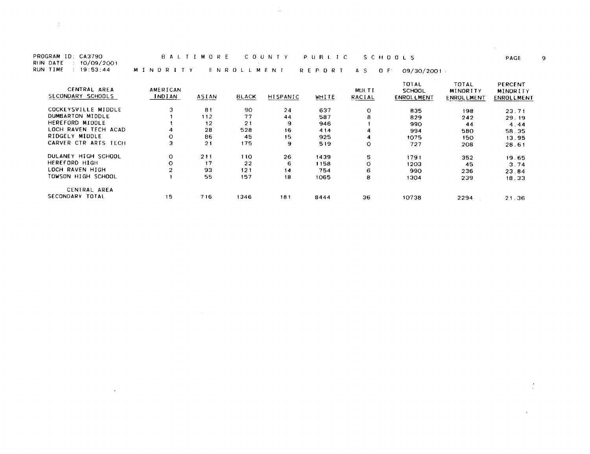PROGRAM ID: CA3790 B A L T I M O R E C O U N T Y P U B L I C S C H D O L S PAGE 9

 $\sim 10$ 

RIJN DATE : 10/09/2001

 $\mathcal{L}^{\text{max}}_{\text{max}}$  and  $\mathcal{L}^{\text{max}}_{\text{max}}$  and  $\mathcal{L}^{\text{max}}_{\text{max}}$ 

 $\sim 10^{-11}$ 

RUNTIME : 19:53:44 MINORITY ENROLLMENT REPORTAS OF 09/30/200

| CENTRAL AREA<br>SECONDARY SCHOOLS | AMERICAN<br><b>INDIAN</b> | ASIAN | <b>BLACK</b> | HISPANIC | WHITE | <b>MULTI</b><br>RACIAL | TOTAL<br>SCHOOL<br>ENROLLMENT | TOTAL<br>MINORITY<br>ENROLLMENT | PERCENT<br>MINORITY<br>ENROLLMENT |
|-----------------------------------|---------------------------|-------|--------------|----------|-------|------------------------|-------------------------------|---------------------------------|-----------------------------------|
|                                   |                           |       |              |          |       |                        |                               |                                 |                                   |
| COCKEYSVILLE MIDDLE               | з                         | 81    | 90           | 24       | 637   | 0                      | 835                           | 198                             | 23.71                             |
| DUMBARTON MIDDLE                  |                           | 112   | 77           | 44       | 587   | 8                      | 829                           | 242                             | 29.19                             |
| HEREFORD MIDDLE                   |                           | 12    | 21           | 9        | 946   |                        | 990                           | 44                              | 4.44                              |
| LOCH RAVEN TECH ACAD              |                           | 28    | 528          | 16       | 414   | 4                      | 994                           | 580                             | 58.35                             |
| RIDGELY MIDDLE                    | Ω                         | 86    | 45           | 15       | 925   | 4                      | 1075                          | 150                             | 13.95                             |
| CARVER CTR ARTS TECH              | з                         | 21    | 175          | 9        | 519   | О                      | 727                           | 208                             | 28.61                             |
| DULANEY HIGH SCHOOL               | 0                         | 211   | 110          | 26       | 1439  | 5                      | 1791                          | 352                             | 19.65                             |
| HEREFORD HIGH                     |                           | 17    | 22           | 6        | 1158  | Ω                      | 1203                          | 45                              | 3.74                              |
| LOCH RAVEN HIGH                   |                           | 93    | 121          | 14       | 754   | 6                      | 990.                          | 236                             | 23.84                             |
| TOWSON HIGH SCHOOL                |                           | 55    | 157          | 18       | 1065  | 8                      | 1304                          | 239                             | 18.33                             |
| CENTRAL AREA                      |                           |       |              |          |       |                        |                               |                                 |                                   |
| SECONDARY TOTAL                   | 15                        | 716   | 1346         | 181      | 8444  | 36                     | 10738                         | 2294                            | 21.36                             |

 $\mathbb{R}^2$ 

 $\downarrow$ 

 $\sim 10^{11}$  m  $^{-1}$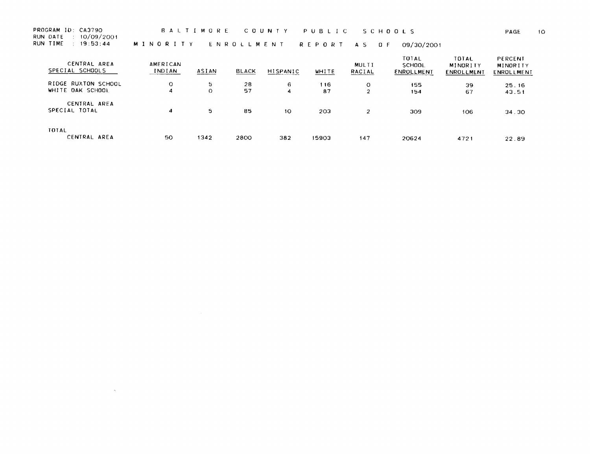PROGRAM 10: CA3790 BALTIMORE COUNTY PUBLIC SCHOOLS PAGE 10

RUN DATE 10/09/200t

 $\label{eq:2.1} \frac{1}{\sqrt{2}}\left(\frac{1}{\sqrt{2}}\right)^{2} \left(\frac{1}{\sqrt{2}}\right)^{2} \left(\frac{1}{\sqrt{2}}\right)^{2} \left(\frac{1}{\sqrt{2}}\right)^{2} \left(\frac{1}{\sqrt{2}}\right)^{2} \left(\frac{1}{\sqrt{2}}\right)^{2} \left(\frac{1}{\sqrt{2}}\right)^{2} \left(\frac{1}{\sqrt{2}}\right)^{2} \left(\frac{1}{\sqrt{2}}\right)^{2} \left(\frac{1}{\sqrt{2}}\right)^{2} \left(\frac{1}{\sqrt{2}}\right)^{2} \left(\$ 

RUNTIME : 19:53:44 MINORITY ENROLLMENT REPORTAS OF 09/30/200

| CENTRAL AREA<br>SPECIAL SCHOOLS         | AMERICAN<br>INDIAN | ASIAN        | <b>BLACK</b> | HISPANIC | WHITE     | MULTI<br>RACIAL           | TOTAL<br>SCHOOL<br>ENROLLMENT | <b>TOTAL</b><br>MINORITY<br>ENROLLMENT | PERCENT<br>MINORITY<br>ENROLLMENT |
|-----------------------------------------|--------------------|--------------|--------------|----------|-----------|---------------------------|-------------------------------|----------------------------------------|-----------------------------------|
| RIDGE RUXTON SCHOOL<br>WHITE OAK SCHOOL | O<br>4             | 5<br>$\circ$ | 28<br>57     | 6<br>4   | 116<br>87 | $\circ$<br>$\overline{2}$ | 155<br>154                    | 39<br>67                               | 25.16<br>43.51                    |
| CENTRAL AREA<br>SPECIAL TOTAL           | 4                  | 5            | 85           | 10       | 203       | -2                        | 309                           | 106                                    | 34.30                             |
| TOTAL<br>CENTRAL AREA                   | 50                 | 1342         | 2800         | 382      | 15903     | 147                       | 20624                         | 4721                                   | 22.89                             |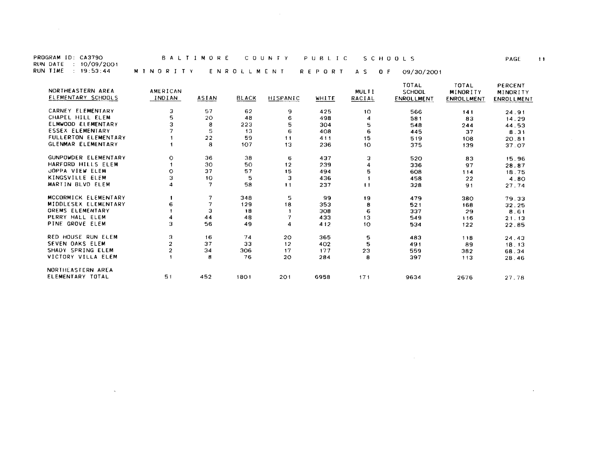RUN DATE : 10/09/2001

 $\label{eq:2.1} \mathcal{L}(\mathcal{L}^{\text{max}}_{\mathcal{L}}(\mathcal{L}^{\text{max}}_{\mathcal{L}})) \leq \mathcal{L}(\mathcal{L}^{\text{max}}_{\mathcal{L}}(\mathcal{L}^{\text{max}}_{\mathcal{L}}))$ 

PROGRAM ID: CA3790 BALTIMORE COUNTY PUBLIC SCHOOLS PAGE 11

 $\mathcal{L}(\mathcal{L}^{\mathcal{L}}(\mathcal{L}^{\mathcal{L}}(\mathcal{L}^{\mathcal{L}}(\mathcal{L}^{\mathcal{L}}(\mathcal{L}^{\mathcal{L}}(\mathcal{L}^{\mathcal{L}}(\mathcal{L}^{\mathcal{L}}(\mathcal{L}^{\mathcal{L}}(\mathcal{L}^{\mathcal{L}}(\mathcal{L}^{\mathcal{L}}(\mathcal{L}^{\mathcal{L}}(\mathcal{L}^{\mathcal{L}}(\mathcal{L}^{\mathcal{L}}(\mathcal{L}^{\mathcal{L}}(\mathcal{L}^{\mathcal{L}}(\mathcal{L}^{\mathcal{L}}(\mathcal{L}$ 

 $\sim 100$  km s  $^{-1}$ 

and the state of the state of

RUNTIME : 19:53:44 MINORITY ENROLLMENT REPORTAS OF 09/30/2001

| NORTHEASTERN AREA<br>ELEMENTARY SCHOOLS | <b>AMERICAN</b><br>INDIAN | <b>ASIAN</b> | <b>BLACK</b> | HISPANIC | WHITE | <b>MULTI</b><br>RACIAL | TOTAL<br>SCHOOL<br>ENROLLMENT | <b>TOTAL</b><br>MINORITY<br>ENROLLMENT | PERCENT<br>MINORITY<br><b>ENROLLMENT</b> |
|-----------------------------------------|---------------------------|--------------|--------------|----------|-------|------------------------|-------------------------------|----------------------------------------|------------------------------------------|
| CARNEY ELEMENTARY                       | з                         | 57           | 62           | 9        | 425   | 10                     | 566                           | 141                                    | 24.91                                    |
| CHAPEL HILL ELEM                        | 5.                        | 20           | 48           | 6        | 498   |                        | 581                           | 83                                     | 14.29                                    |
| ELMWOOD ELEMENTARY                      | З                         | 8            | 223          | 5        | 304   | 5                      | 548                           | 244                                    | 44.53                                    |
| <b>ESSEX ELEMENTARY</b>                 |                           | 5            | 13           | 6        | 408   | 6                      | 445                           | 37                                     | 8.31                                     |
| FULLERTON ELEMENTARY                    |                           | 22           | 59           | 11       | 411   | 15                     | 519                           | 108                                    | 20.81                                    |
| GLENMAR ELEMENTARY                      |                           | 8            | 107          | 13       | 236   | 10 <sup>10</sup>       | 375                           | 139                                    | 37.07                                    |
| GUNPOWDER ELEMENTARY                    | 0                         | 36           | 38           | 6        | 437   | з                      | 520                           | 83                                     | 15.96                                    |
| HARFORD HILLS FLFM                      |                           | 30           | 50           | 12       | 239   | 4                      | 336                           | 97                                     | 28.87                                    |
| <b>JOPPA VIEW ELEM</b>                  | O                         | 37           | 57           | 15       | 494   | 5                      | 608                           | 114                                    | 18.75                                    |
| KINGSVILLE ELEM                         | з                         | 10           | 5            | з        | 436   |                        | 458                           | 22                                     | 4.80                                     |
| MARTIN BLVD ELEM                        | Δ                         | 7            | 58           | 11       | 237   | 11                     | 328                           | 91                                     | 27.74                                    |
| MCCORMICK ELEMENTARY                    |                           | 7            | 348          | 5        | 99    | 19                     | 479                           | 380                                    | 79.33                                    |
| MIDDLESEX ELEMENTARY                    |                           | 7            | 129          | 18       | 353   | 8                      | 521                           | 168                                    | 32.25                                    |
| OREMS ELEMENTARY                        |                           | з            | 18           |          | 308   | 6                      | 337                           | 29                                     | 8 6 1                                    |
| PERRY HALL ELEM                         |                           | 44           | 48           |          | 433   | 13                     | 549                           | 116                                    | 21.13                                    |
| PINE GROVE ELEM                         | 3                         | 56           | 49           | 4        | 412   | 10 <sup>°</sup>        | 534                           | 122                                    | 22.85                                    |
| RED HOUSE RUN ELEM                      | з                         | 16           | 74           | 20       | 365   | 5                      | 483                           | 118                                    | 24.43                                    |
| SEVEN OAKS ELEM                         | 2                         | 37           | 33           | 12       | 402   | 5                      | 491                           | 89                                     | 18.13                                    |
| SHADY SPRING ELEM                       | 2                         | 34           | 306          | 17       | 177   | 23                     | 559                           | 382                                    | 68.34                                    |
| VICTORY VILLA ELEM                      |                           | 8            | 76           | 20       | 284   | 8                      | 397                           | 113                                    | 28.46                                    |
| NORTHEASTERN AREA                       |                           |              |              |          |       |                        |                               |                                        |                                          |
| ELEMENTARY TOTAL                        | 51                        | 452          | 1801         | 201      | 6958  | 171                    | 9634                          | 2676                                   | 27.78                                    |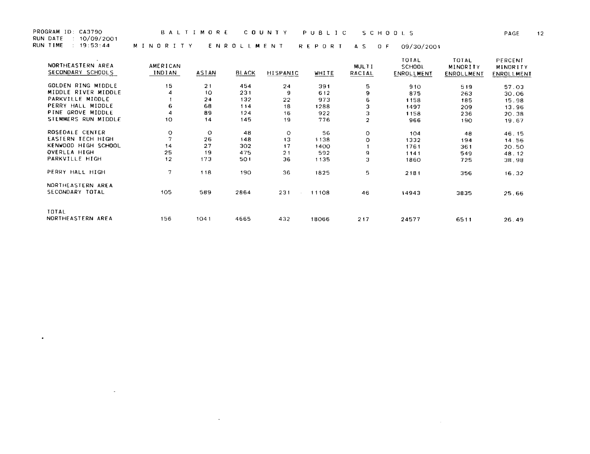RUN DATE : 10/09/200t

 $\mathbf{u} = \mathbf{u}$  .

the contract of the state of the contract of

and the state of the

RUNTIME : 19:53:44 MINORITY ENROLLMENT REPORTAS OF 09/30/2001

| NORTHEASTERN AREA<br>SECONDARY SCHOOLS | AMERICAN<br>INDIAN | ASIAN   | <b>BLACK</b> | <b>HISPANIC</b> |       | <b>MULTI</b>   | TOTAL<br>SCHOOL | TOTAL<br>MINORITY | PERCENT<br>MINORITY |
|----------------------------------------|--------------------|---------|--------------|-----------------|-------|----------------|-----------------|-------------------|---------------------|
|                                        |                    |         |              |                 | WHITE | RACIAL         | ENROLLMENT      | ENROLLMENT        | ENROLLMENT          |
| GOLDEN RING MIDDLE                     | 15                 | 21      | 454          | 24              | 391   | 5              | 910             | 519               | 57.03               |
| MIDDLE RIVER MIDDLE                    |                    | 10      | 231          | 9               | 612   | 9              | 875             | 263               | 30.06               |
| PARKVILLE MIDDLE                       |                    | 24      | 132          | 22              | 973   | 6              | 1158            | 185               | 15.98               |
| PERRY HALL MIDDLE                      | 6                  | 68      | 114          | 18              | 1288  | 3              | 1497            | 209               | 13.96               |
| PINE GROVE MIDDLE                      |                    | 89      | 124          | 16              | 922   | з              | 1158            | 236               | 20.38               |
| STEMMERS RUN MIDDLE                    | 10                 | 14      | 145          | 19              | 776   | $\overline{2}$ | 966             | 190               | 19.67               |
| ROSEDALE CENTER                        | 0                  | $\circ$ | 48           | $\circ$         | 56    | О              | 104             | 48                | 46.15               |
| <b>EASTERN TECH HIGH</b>               | 7                  | 26      | 148          | 13              | 1138  | o              | 1332            | 194               | 14.56               |
| KENWOOD HIGH SCHOOL                    | 14                 | 27      | 302          | 17              | 1400  |                | 1761            | 361               | 20.50               |
| OVERLEA HIGH                           | 25                 | 19      | 475          | 21              | 592   | 9              | 1141            | 549.              | 48.12               |
| PARKVILLE HIGH                         | 12                 | 173     | 501          | 36              | 1135  | з              | 1860            | 725.              | 38.98               |
| PERRY HALL HIGH                        |                    | 118     | 190          | 36              | 1825  | 5              | 2181            | 356               | 16.32               |
| NORTHEASTERN AREA                      |                    |         |              |                 |       |                |                 |                   |                     |
| SECONDARY TOTAL                        | 105                | 589     | 2864         | 231             | 11108 | 46             | 14943           | 3835              | 25.66               |
|                                        |                    |         |              |                 |       |                |                 |                   |                     |
| TOTAL                                  |                    |         |              |                 |       |                |                 |                   |                     |
| NORTHEASTERN AREA                      | 156                | 1041    | 4665         | 432             | 18066 | 217            | 24577           | 6511              | 26.49               |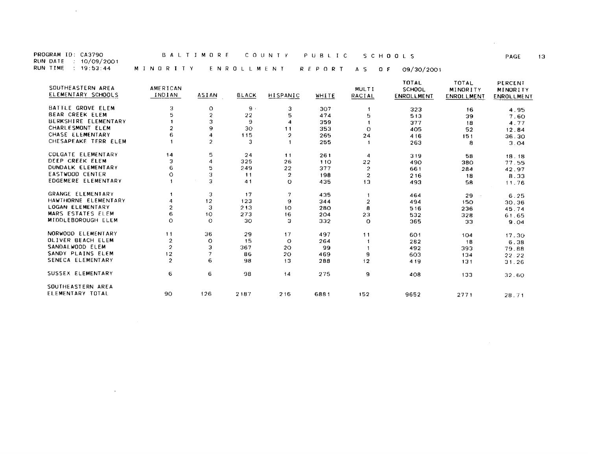RUN DATE : 10/09/2001

 $\mathcal{L}^{\text{max}}_{\text{max}}$  .

**Contractor** 

RUNTIME : 19:53:44 MINORITY ENROLLMENT REPORT AS OF 09/30/2001

| SOUTHEASTERN AREA<br>ELEMENTARY SCHOOLS | AMERICAN<br>INDIAN | ASIAN          | <b>BLACK</b> | HISPANIC | WHITE | MULTI<br>RACIAL | <b>TOTAL</b><br>SCHOOL<br>ENROLLMENT | TOTAL<br>MINORITY<br>ENROLLMENT | PERCENT<br>MINORITY<br>ENROLLMENT |
|-----------------------------------------|--------------------|----------------|--------------|----------|-------|-----------------|--------------------------------------|---------------------------------|-----------------------------------|
| BATTLE GROVE ELEM                       | з                  | 0              | -9           | з        | 307   |                 | 323                                  | 16                              | 4.95                              |
| <b>BEAR CREEK ELEM</b>                  |                    | $\mathbf{2}$   | 22           | 5        | 474   | 5               | 513                                  | 39                              | 7.60                              |
| BERKSHIRE ELEMENTARY                    |                    | з              | 9            | 4        | 359   |                 | 377                                  | 18                              | 4.77                              |
| CHARLESMONT ELEM                        |                    | 9              | 30           | 11       | 353   | $\Omega$        | 405                                  | 52                              | 12.84                             |
| CHASE ELEMENTARY                        |                    |                | 115          | 2        | 265   | 24              | 416                                  | 151                             | 36.30                             |
| CHESAPEAKE TERR ELEM                    |                    | $\overline{2}$ | 3            |          | 255   |                 | 263                                  | 8                               | 3.04                              |
| COLGATE ELEMENTARY                      | 14                 | 5              | 24           | 11       | 261   | -4              | 319                                  | 58                              | 18 18                             |
| DEEP CREEK ELEM                         | 3                  |                | 325          | 26       | 110   | 22              | 490                                  | 380                             | 77.55                             |
| DUNDALK ELEMENTARY                      | 6                  | 5              | 249          | 22       | 377   | 2               | 661                                  | 284                             | 42.97                             |
| <b>EASTWOOD CENTER</b>                  | Ω                  | З              | 11           | 2        | 198   | $\overline{2}$  | 216                                  | 18                              | 8.33                              |
| EDGEMERE ELEMENTARY                     |                    | 3              | 41           | $\circ$  | 435   | 13              | 493                                  | 58                              | 11.76                             |
| GRANGE ELEMENTARY                       |                    | з              | 17           | 7        | 435   |                 | 464                                  | 29                              | 6.25                              |
| HAWTHORNE ELEMENTARY                    |                    | 12             | 123          | 9        | 344   | $\overline{2}$  | 494                                  | 150                             | 30.36                             |
| LOGAN ELEMENTARY                        |                    | 3              | 213          | 10       | 280   | 8               | 516                                  | 236                             | 45.74                             |
| MARS ESTATES ELEM                       | 6                  | 10             | 273          | 16       | 204   | 23              | 532                                  | 328                             | 61.65                             |
| MIDDLEBOROUGH ELEM                      | $\Omega$           | $\circ$        | 30           | з        | 332   | $\circ$         | 365                                  | 33                              | 9.04                              |
| NORWOOD ELEMENTARY                      | 11                 | 36             | 29           | 17       | 497   | 11              | 601                                  | 104                             | 17.30                             |
| OLIVER BEACH ELEM                       | 2                  | o              | 15           | $\circ$  | 264   |                 | 282                                  | 18                              | 6.38                              |
| SANDALWOOD ELEM                         | $\overline{2}$     | з              | 367          | 20       | 99    |                 | 492                                  | 393                             | 79.88                             |
| SANDY PLAINS ELEM                       | 12                 | 7              | 86           | 20       | 469   | 9               | 603                                  | 134                             | 22.22                             |
| SENECA ELEMENTARY                       | $\overline{2}$     | 6              | 98           | 13       | 288   | 12              | 419                                  | 131                             | 31.26                             |
| SUSSEX ELEMENTARY                       | 6                  | 6              | 98           | 14       | 275   | 9               | 408                                  | 133                             | 32.60                             |
| SOUTHEASTERN AREA                       |                    |                |              |          |       |                 |                                      |                                 |                                   |
| ELEMENTARY TOTAL                        | 90                 | 126            | 2187         | 216      | 6881  | 152             | 9652                                 | 2771                            | 28.71                             |

 $\mathcal{L}^{\text{max}}$  and  $\mathcal{L}^{\text{max}}$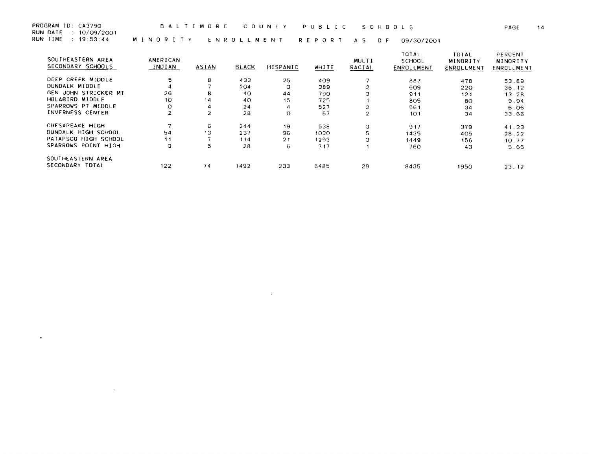RUN DATE : 10/09/2001

 $\sim 10^{11}$  m  $^{-1}$ 

 $\mathcal{L}^{\text{max}}_{\text{max}}$  and  $\mathcal{L}^{\text{max}}_{\text{max}}$ 

RUNTIME : 19:53:44 MINORITY ENROLLMENT REPORTAS OF 09/30/2001

| SOUTHEASTERN AREA<br>SECONDARY SCHOOLS | AMERICAN<br>INDIAN | ASIAN  | <b>BLACK</b> | HISPANIC | <b>WHITE</b> | MULTI<br>RACIAL | TOTAL<br>SCHOOL<br>ENROLLMENT | TOTAL<br>MINORITY<br>ENROLLMENT | PERCENT<br>MINORITY<br>ENROLLMENT |
|----------------------------------------|--------------------|--------|--------------|----------|--------------|-----------------|-------------------------------|---------------------------------|-----------------------------------|
| DEEP CREEK MIDDLE                      | 5                  | 8      | 433          | 25       | 409          |                 | 887                           | 478                             | 53.89                             |
| DUNDALK MIDDLE                         | 4                  |        | 204          | з        | 389          | 2               | 609                           | 220                             | 36.12                             |
| GEN JOHN STRICKER MI                   | 26                 | 8      | 40           | 44       | 790          | З               | 911                           | 121                             | 13.28                             |
| HOLABIRD MIDDLF                        | 10                 | 14     | 40           | 15       | 725          |                 | 805                           | 80                              | 9.94                              |
| SPARROWS PT MIDDLE                     | 0                  | 4      | 24           | 4        | 527          | 2               | 561                           | 34                              | 6.06                              |
| INVERNESS CENTER                       | 2                  | 2      | 28           | $\Omega$ | 67           | $\overline{2}$  | 101                           | 34                              | 33.66                             |
| CHESAPEAKE HIGH                        | 7                  | 6.     | 344          | 19       | 538          | з               | 917                           | 379                             | 41.33                             |
| DUNDALK HIGH SCHOOL                    | 54                 | 13     | 237          | 96       | 1030         | 5               | 1435                          | 405                             | 28.22                             |
| PATAPSCO HIGH SCHOOL                   | 11                 | $\sim$ | 114          | 21       | 1293         | з               | 1449                          | 156                             | 10.77                             |
| SPARROWS POINT HIGH                    | 3                  | 5.     | 28           | 6.       | 717          |                 | 760                           | 43                              | 5.66                              |
| SOUTHEASTERN AREA                      |                    |        |              |          |              |                 |                               |                                 |                                   |
| SECONDARY TOTAL                        | 122                | 74     | 1492         | 233      | 6485         | 29              | 8435                          | 1950                            | 23.12                             |

and the control of the control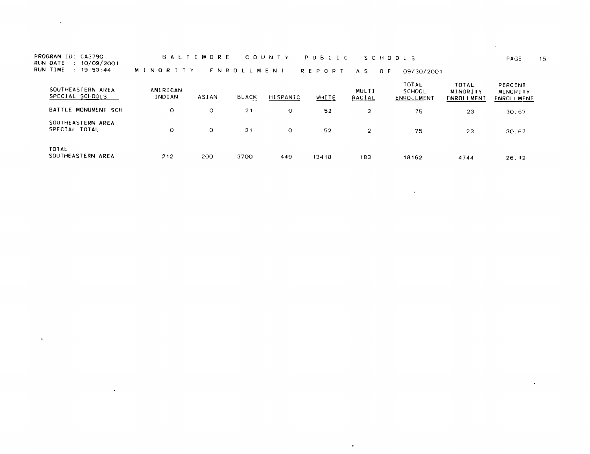| PROGRAM ID: CA3790<br>RUN DATE<br>$\div$ 10/09/2001 |                    | BALTIMORE    |              | C O U N T Y | PUBLIC | S C H O O L S   |                                      |                                        | PAGE                                     | 15 |
|-----------------------------------------------------|--------------------|--------------|--------------|-------------|--------|-----------------|--------------------------------------|----------------------------------------|------------------------------------------|----|
| RUN TIME<br>$\therefore$ 19:53:44                   | MINORITY           |              | ENROLLMENT   |             | REPORT | AS.<br>- 0 F    | 09/30/2001                           |                                        |                                          |    |
| SOUTHEASTERN AREA<br>SPECIAL SCHOOLS                | AMERICAN<br>INDIAN | <b>ASIAN</b> | <b>BLACK</b> | HISPANIC    | WHITE  | MULTI<br>RACIAL | <b>TOTAL</b><br>SCHOOL<br>ENROLLMENT | <b>TOTAL</b><br>MINORITY<br>ENROLLMENT | PERCENT<br><b>MINORITY</b><br>ENROLLMENT |    |
| BATTLE MONUMENT SCH                                 | Ω                  |              | -21          | $\Omega$    | 52     |                 | 75                                   |                                        | 30.67                                    |    |

 $\label{eq:2.1} \frac{1}{2} \int_{\mathbb{R}^3} \frac{1}{\sqrt{2}} \, \frac{1}{\sqrt{2}} \, \frac{1}{\sqrt{2}} \, \frac{1}{\sqrt{2}} \, \frac{1}{\sqrt{2}} \, \frac{1}{\sqrt{2}} \, \frac{1}{\sqrt{2}} \, \frac{1}{\sqrt{2}} \, \frac{1}{\sqrt{2}} \, \frac{1}{\sqrt{2}} \, \frac{1}{\sqrt{2}} \, \frac{1}{\sqrt{2}} \, \frac{1}{\sqrt{2}} \, \frac{1}{\sqrt{2}} \, \frac{1}{\sqrt{2}} \, \frac{1}{\sqrt{2}} \,$ 

 $\sim 10^{-1}$ 

 $\mathcal{L}^{\text{max}}$  , where  $\mathcal{L}^{\text{max}}$ 

 $\bullet$  .

| SPECIAL TOTAL                     |     |     | -21  | $\Omega$ | 52    |     | 75.   | 23   | 30.67 |
|-----------------------------------|-----|-----|------|----------|-------|-----|-------|------|-------|
| <b>TOTAL</b><br>SOUTHEASTERN AREA | 212 | 200 | 3700 | 449      | 13418 | 183 | 18162 | 4744 | 26.12 |

SOUTHEASTERN AREA

 $\sim$ 

 $\sim 100$  km s  $^{-1}$  .

 $\label{eq:2.1} \frac{1}{\sqrt{2}}\int_{\mathbb{R}^3}\frac{1}{\sqrt{2}}\left(\frac{1}{\sqrt{2}}\right)^2\left(\frac{1}{\sqrt{2}}\right)^2\left(\frac{1}{\sqrt{2}}\right)^2\left(\frac{1}{\sqrt{2}}\right)^2\left(\frac{1}{\sqrt{2}}\right)^2\left(\frac{1}{\sqrt{2}}\right)^2.$